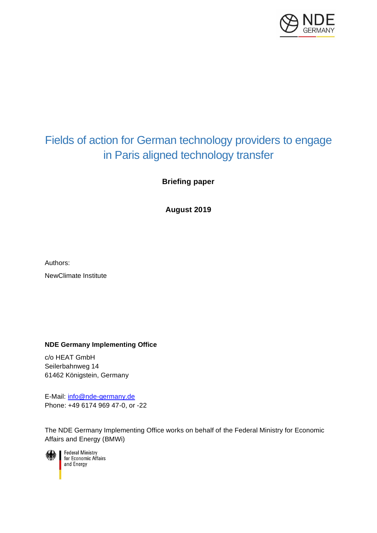

# Fields of action for German technology providers to engage in Paris aligned technology transfer

**Briefing paper**

**August 2019**

Authors:

NewClimate Institute

#### **NDE Germany Implementing Office**

c/o HEAT GmbH Seilerbahnweg 14 61462 Königstein, Germany

E-Mail: [info@nde-germany.de](mailto:info@nde-germany.de) Phone: +49 6174 969 47-0, or -22

The NDE Germany Implementing Office works on behalf of the Federal Ministry for Economic Affairs and Energy (BMWi)

**Federal Ministry** for Economic Affairs and Energy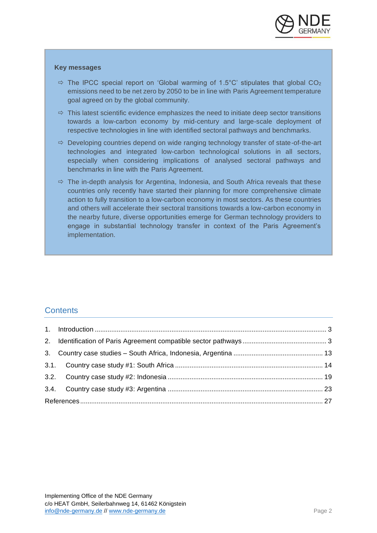

#### **Key messages**

- $\Rightarrow$  The IPCC special report on 'Global warming of 1.5°C' stipulates that global CO<sub>2</sub> emissions need to be net zero by 2050 to be in line with Paris Agreement temperature goal agreed on by the global community.
- $\Rightarrow$  This latest scientific evidence emphasizes the need to initiate deep sector transitions towards a low-carbon economy by mid-century and large-scale deployment of respective technologies in line with identified sectoral pathways and benchmarks.
- $\Rightarrow$  Developing countries depend on wide ranging technology transfer of state-of-the-art technologies and integrated low-carbon technological solutions in all sectors, especially when considering implications of analysed sectoral pathways and benchmarks in line with the Paris Agreement.
- $\Rightarrow$  The in-depth analysis for Argentina, Indonesia, and South Africa reveals that these countries only recently have started their planning for more comprehensive climate action to fully transition to a low-carbon economy in most sectors. As these countries and others will accelerate their sectoral transitions towards a low-carbon economy in the nearby future, diverse opportunities emerge for German technology providers to engage in substantial technology transfer in context of the Paris Agreement's implementation.

## **Contents**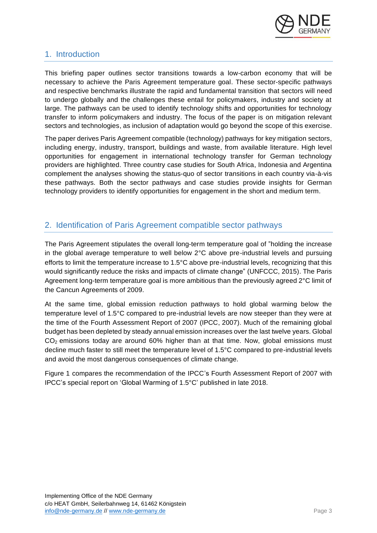

# <span id="page-2-0"></span>1. Introduction

This briefing paper outlines sector transitions towards a low-carbon economy that will be necessary to achieve the Paris Agreement temperature goal. These sector-specific pathways and respective benchmarks illustrate the rapid and fundamental transition that sectors will need to undergo globally and the challenges these entail for policymakers, industry and society at large. The pathways can be used to identify technology shifts and opportunities for technology transfer to inform policymakers and industry. The focus of the paper is on mitigation relevant sectors and technologies, as inclusion of adaptation would go beyond the scope of this exercise.

The paper derives Paris Agreement compatible (technology) pathways for key mitigation sectors, including energy, industry, transport, buildings and waste, from available literature. High level opportunities for engagement in international technology transfer for German technology providers are highlighted. Three country case studies for South Africa, Indonesia and Argentina complement the analyses showing the status-quo of sector transitions in each country via-à-vis these pathways. Both the sector pathways and case studies provide insights for German technology providers to identify opportunities for engagement in the short and medium term.

# <span id="page-2-1"></span>2. Identification of Paris Agreement compatible sector pathways

The Paris Agreement stipulates the overall long-term temperature goal of "holding the increase in the global average temperature to well below 2°C above pre-industrial levels and pursuing efforts to limit the temperature increase to 1.5°C above pre-industrial levels, recognizing that this would significantly reduce the risks and impacts of climate change" (UNFCCC, 2015). The Paris Agreement long-term temperature goal is more ambitious than the previously agreed 2°C limit of the Cancun Agreements of 2009.

At the same time, global emission reduction pathways to hold global warming below the temperature level of 1.5°C compared to pre-industrial levels are now steeper than they were at the time of the Fourth Assessment Report of 2007 (IPCC, 2007). Much of the remaining global budget has been depleted by steady annual emission increases over the last twelve years. Global  $CO<sub>2</sub>$  emissions today are around 60% higher than at that time. Now, global emissions must decline much faster to still meet the temperature level of 1.5°C compared to pre-industrial levels and avoid the most dangerous consequences of climate change.

Figure 1 compares the recommendation of the IPCC's Fourth Assessment Report of 2007 with IPCC's special report on 'Global Warming of 1.5°C' published in late 2018.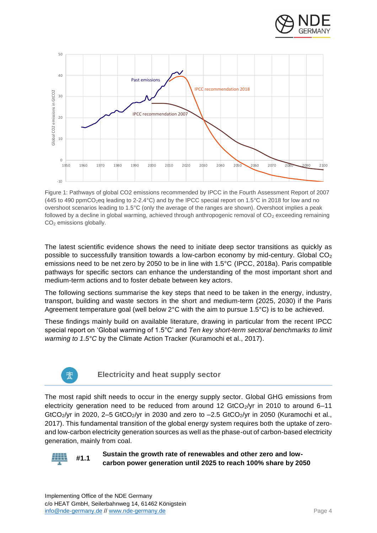



Figure 1: Pathways of global CO2 emissions recommended by IPCC in the Fourth Assessment Report of 2007  $(445 \text{ to } 490 \text{ ppmCO}_2)$  eq leading to 2-2.4°C) and by the IPCC special report on 1.5°C in 2018 for low and no overshoot scenarios leading to 1.5°C (only the average of the ranges are shown). Overshoot implies a peak followed by a decline in global warming, achieved through anthropogenic removal of  $CO<sub>2</sub>$  exceeding remaining CO<sup>2</sup> emissions globally.

The latest scientific evidence shows the need to initiate deep sector transitions as quickly as possible to successfully transition towards a low-carbon economy by mid-century. Global  $CO<sub>2</sub>$ emissions need to be net zero by 2050 to be in line with 1.5°C (IPCC, 2018a). Paris compatible pathways for specific sectors can enhance the understanding of the most important short and medium-term actions and to foster debate between key actors.

The following sections summarise the key steps that need to be taken in the energy, industry, transport, building and waste sectors in the short and medium-term (2025, 2030) if the Paris Agreement temperature goal (well below 2°C with the aim to pursue 1.5°C) is to be achieved.

These findings mainly build on available literature, drawing in particular from the recent IPCC special report on 'Global warming of 1.5°C' and *Ten key short-term sectoral benchmarks to limit warming to 1.5°C* by the Climate Action Tracker (Kuramochi et al., 2017).



**Electricity and heat supply sector**

The most rapid shift needs to occur in the energy supply sector. Global GHG emissions from electricity generation need to be reduced from around 12 GtCO<sub>2</sub>/yr in 2010 to around 6–11 GtCO<sub>2</sub>/yr in 2020, 2-5 GtCO<sub>2</sub>/yr in 2030 and zero to -2.5 GtCO<sub>2</sub>/yr in 2050 (Kuramochi et al., 2017). This fundamental transition of the global energy system requires both the uptake of zeroand low-carbon electricity generation sources as well as the phase-out of carbon-based electricity generation, mainly from coal.

#### **#1.1 Sustain the growth rate of renewables and other zero and lowcarbon power generation until 2025 to reach 100% share by 2050**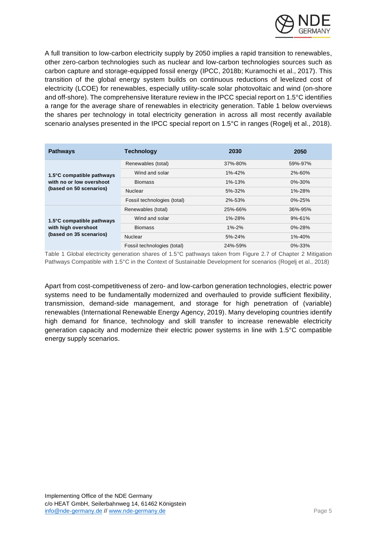

A full transition to low-carbon electricity supply by 2050 implies a rapid transition to renewables, other zero-carbon technologies such as nuclear and low-carbon technologies sources such as carbon capture and storage-equipped fossil energy (IPCC, 2018b; Kuramochi et al., 2017). This transition of the global energy system builds on continuous reductions of levelized cost of electricity (LCOE) for renewables, especially utility-scale solar photovoltaic and wind (on-shore and off-shore). The comprehensive literature review in the IPCC special report on 1.5°C identifies a range for the average share of renewables in electricity generation. Table 1 below overviews the shares per technology in total electricity generation in across all most recently available scenario analyses presented in the IPCC special report on 1.5°C in ranges (Rogeli et al., 2018).

| <b>Pathways</b>           | <b>Technology</b>           | 2030         | 2050         |
|---------------------------|-----------------------------|--------------|--------------|
|                           | Renewables (total)          | 37%-80%      | 59%-97%      |
| 1.5°C compatible pathways | Wind and solar              | $1\% - 42\%$ | 2%-60%       |
| with no or low overshoot  | <b>Biomass</b>              | 1%-13%       | $0\% - 30\%$ |
| (based on 50 scenarios)   | Nuclear                     | 5%-32%       | 1%-28%       |
|                           | Fossil technologies (total) | 2%-53%       | $0\% - 25\%$ |
|                           | Renewables (total)          | 25%-66%      | 36%-95%      |
| 1.5°C compatible pathways | Wind and solar              | $1\% - 28\%$ | $9\% - 61\%$ |
| with high overshoot       | <b>Biomass</b>              | $1\% - 2\%$  | $0\% - 28\%$ |
| (based on 35 scenarios)   | <b>Nuclear</b>              | $5% - 24%$   | $1\% - 40\%$ |
|                           | Fossil technologies (total) | 24%-59%      | 0%-33%       |

Table 1 Global electricity generation shares of 1.5°C pathways taken from Figure 2.7 of Chapter 2 Mitigation Pathways Compatible with 1.5°C in the Context of Sustainable Development for scenarios (Rogelj et al., 2018)

Apart from cost-competitiveness of zero- and low-carbon generation technologies, electric power systems need to be fundamentally modernized and overhauled to provide sufficient flexibility, transmission, demand-side management, and storage for high penetration of (variable) renewables (International Renewable Energy Agency, 2019). Many developing countries identify high demand for finance, technology and skill transfer to increase renewable electricity generation capacity and modernize their electric power systems in line with 1.5°C compatible energy supply scenarios.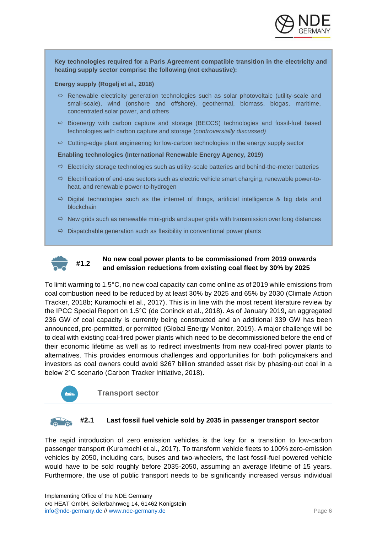

**Key technologies required for a Paris Agreement compatible transition in the electricity and heating supply sector comprise the following (not exhaustive):** 

#### **Energy supply (Rogelj et al., 2018)**

- $\Rightarrow$  Renewable electricity generation technologies such as solar photovoltaic (utility-scale and small-scale), wind (onshore and offshore), geothermal, biomass, biogas, maritime, concentrated solar power, and others
- $\Rightarrow$  Bioenergy with carbon capture and storage (BECCS) technologies and fossil-fuel based technologies with carbon capture and storage (*controversially discussed)*
- $\Rightarrow$  Cutting-edge plant engineering for low-carbon technologies in the energy supply sector

**Enabling technologies (International Renewable Energy Agency, 2019)**

- $\Rightarrow$  Electricity storage technologies such as utility-scale batteries and behind-the-meter batteries
- $\Rightarrow$  Electrification of end-use sectors such as electric vehicle smart charging, renewable power-toheat, and renewable power-to-hydrogen
- $\Rightarrow$  Digital technologies such as the internet of things, artificial intelligence & big data and blockchain
- $\Rightarrow$  New grids such as renewable mini-grids and super grids with transmission over long distances
- $\Rightarrow$  Dispatchable generation such as flexibility in conventional power plants



#### **No new coal power plants to be commissioned from 2019 onwards and emission reductions from existing coal fleet by 30% by 2025**

To limit warming to 1.5°C, no new coal capacity can come online as of 2019 while emissions from coal combustion need to be reduced by at least 30% by 2025 and 65% by 2030 (Climate Action Tracker, 2018b; Kuramochi et al., 2017). This is in line with the most recent literature review by the IPCC Special Report on 1.5°C (de Coninck et al., 2018). As of January 2019, an aggregated 236 GW of coal capacity is currently being constructed and an additional 339 GW has been announced, pre-permitted, or permitted (Global Energy Monitor, 2019). A major challenge will be to deal with existing coal-fired power plants which need to be decommissioned before the end of their economic lifetime as well as to redirect investments from new coal-fired power plants to alternatives. This provides enormous challenges and opportunities for both policymakers and investors as coal owners could avoid \$267 billion stranded asset risk by phasing-out coal in a below 2°C scenario (Carbon Tracker Initiative, 2018).



**Transport sector**

#### **#2.1 Last fossil fuel vehicle sold by 2035 in passenger transport sector**

The rapid introduction of zero emission vehicles is the key for a transition to low-carbon passenger transport (Kuramochi et al., 2017). To transform vehicle fleets to 100% zero-emission vehicles by 2050, including cars, buses and two-wheelers, the last fossil-fuel powered vehicle would have to be sold roughly before 2035-2050, assuming an average lifetime of 15 years. Furthermore, the use of public transport needs to be significantly increased versus individual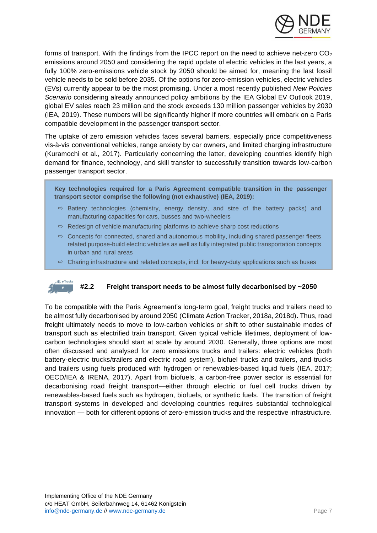

forms of transport. With the findings from the IPCC report on the need to achieve net-zero  $CO<sub>2</sub>$ emissions around 2050 and considering the rapid update of electric vehicles in the last years, a fully 100% zero-emissions vehicle stock by 2050 should be aimed for, meaning the last fossil vehicle needs to be sold before 2035. Of the options for zero-emission vehicles, electric vehicles (EVs) currently appear to be the most promising. Under a most recently published *New Policies Scenario* considering already announced policy ambitions by the IEA Global EV Outlook 2019, global EV sales reach 23 million and the stock exceeds 130 million passenger vehicles by 2030 (IEA, 2019). These numbers will be significantly higher if more countries will embark on a Paris compatible development in the passenger transport sector.

The uptake of zero emission vehicles faces several barriers, especially price competitiveness vis-à-vis conventional vehicles, range anxiety by car owners, and limited charging infrastructure (Kuramochi et al., 2017). Particularly concerning the latter, developing countries identify high demand for finance, technology, and skill transfer to successfully transition towards low-carbon passenger transport sector.

**Key technologies required for a Paris Agreement compatible transition in the passenger transport sector comprise the following (not exhaustive) (IEA, 2019):** 

- $\Rightarrow$  Battery technologies (chemistry, energy density, and size of the battery packs) and manufacturing capacities for cars, busses and two-wheelers
- $\Rightarrow$  Redesign of vehicle manufacturing platforms to achieve sharp cost reductions
- $\Rightarrow$  Concepts for connected, shared and autonomous mobility, including shared passenger fleets related purpose-build electric vehicles as well as fully integrated public transportation concepts in urban and rural areas
- $\Rightarrow$  Charing infrastructure and related concepts, incl. for heavy-duty applications such as buses

# **#2.2 Freight transport needs to be almost fully decarbonised by ~2050**

To be compatible with the Paris Agreement's long-term goal, freight trucks and trailers need to be almost fully decarbonised by around 2050 (Climate Action Tracker, 2018a, 2018d). Thus, road freight ultimately needs to move to low-carbon vehicles or shift to other sustainable modes of transport such as electrified train transport. Given typical vehicle lifetimes, deployment of lowcarbon technologies should start at scale by around 2030. Generally, three options are most often discussed and analysed for zero emissions trucks and trailers: electric vehicles (both battery-electric trucks/trailers and electric road system), biofuel trucks and trailers, and trucks and trailers using fuels produced with hydrogen or renewables-based liquid fuels (IEA, 2017; OECD/IEA & IRENA, 2017). Apart from biofuels, a carbon-free power sector is essential for decarbonising road freight transport—either through electric or fuel cell trucks driven by renewables-based fuels such as hydrogen, biofuels, or synthetic fuels. The transition of freight transport systems in developed and developing countries requires substantial technological innovation — both for different options of zero-emission trucks and the respective infrastructure.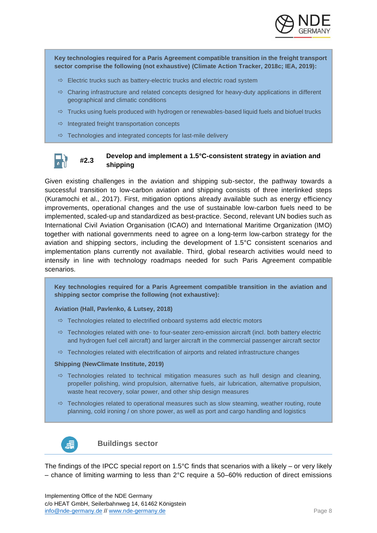

**Key technologies required for a Paris Agreement compatible transition in the freight transport sector comprise the following (not exhaustive) (Climate Action Tracker, 2018c; IEA, 2019):** 

- $\Rightarrow$  Electric trucks such as battery-electric trucks and electric road system
- $\Rightarrow$  Charing infrastructure and related concepts designed for heavy-duty applications in different geographical and climatic conditions
- $\Rightarrow$  Trucks using fuels produced with hydrogen or renewables-based liquid fuels and biofuel trucks
- $\Rightarrow$  Integrated freight transportation concepts
- $\Rightarrow$  Technologies and integrated concepts for last-mile delivery

#### **#2.3 Develop and implement a 1.5°C-consistent strategy in aviation and shipping**

Given existing challenges in the aviation and shipping sub-sector, the pathway towards a successful transition to low-carbon aviation and shipping consists of three interlinked steps (Kuramochi et al., 2017). First, mitigation options already available such as energy efficiency improvements, operational changes and the use of sustainable low-carbon fuels need to be implemented, scaled-up and standardized as best-practice. Second, relevant UN bodies such as International Civil Aviation Organisation (ICAO) and International Maritime Organization (IMO) together with national governments need to agree on a long-term low-carbon strategy for the aviation and shipping sectors, including the development of 1.5°C consistent scenarios and implementation plans currently not available. Third, global research activities would need to intensify in line with technology roadmaps needed for such Paris Agreement compatible scenarios.

**Key technologies required for a Paris Agreement compatible transition in the aviation and shipping sector comprise the following (not exhaustive):** 

#### **Aviation (Hall, Pavlenko, & Lutsey, 2018)**

- $\Rightarrow$  Technologies related to electrified onboard systems add electric motors
- $\Rightarrow$  Technologies related with one- to four-seater zero-emission aircraft (incl. both battery electric and hydrogen fuel cell aircraft) and larger aircraft in the commercial passenger aircraft sector
- $\Rightarrow$  Technologies related with electrification of airports and related infrastructure changes

#### **Shipping (NewClimate Institute, 2019)**

- $\Rightarrow$  Technologies related to technical mitigation measures such as hull design and cleaning, propeller polishing, wind propulsion, alternative fuels, air lubrication, alternative propulsion, waste heat recovery, solar power, and other ship design measures
- $\Rightarrow$  Technologies related to operational measures such as slow steaming, weather routing, route planning, cold ironing / on shore power, as well as port and cargo handling and logistics



**Buildings sector**

The findings of the IPCC special report on  $1.5^{\circ}$ C finds that scenarios with a likely – or very likely – chance of limiting warming to less than  $2^{\circ}$ C require a 50–60% reduction of direct emissions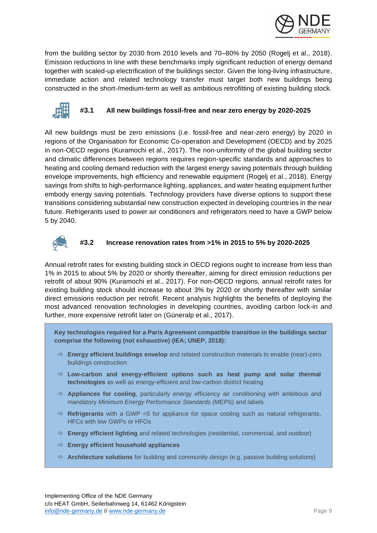

from the building sector by 2030 from 2010 levels and 70–80% by 2050 (Rogelj et al., 2018). Emission reductions in line with these benchmarks imply significant reduction of energy demand together with scaled-up electrification of the buildings sector. Given the long-living infrastructure, immediate action and related technology transfer must target both new buildings being constructed in the short-/medium-term as well as ambitious retrofitting of existing building stock.



#### **#3.1 All new buildings fossil-free and near zero energy by 2020-2025**

All new buildings must be zero emissions (i.e. fossil-free and near-zero energy) by 2020 in regions of the Organisation for Economic Co-operation and Development (OECD) and by 2025 in non-OECD regions (Kuramochi et al., 2017). The non-uniformity of the global building sector and climatic differences between regions requires region-specific standards and approaches to heating and cooling demand reduction with the largest energy saving potentials through building envelope improvements, high efficiency and renewable equipment (Rogelj et al., 2018). Energy savings from shifts to high-performance lighting, appliances, and water heating equipment further embody energy saving potentials. Technology providers have diverse options to support these transitions considering substantial new construction expected in developing countries in the near future. Refrigerants used to power air conditioners and refrigerators need to have a GWP below 5 by 2040.



#### **#3.2 Increase renovation rates from >1% in 2015 to 5% by 2020-2025**

Annual retrofit rates for existing building stock in OECD regions ought to increase from less than 1% in 2015 to about 5% by 2020 or shortly thereafter, aiming for direct emission reductions per retrofit of about 90% (Kuramochi et al., 2017). For non-OECD regions, annual retrofit rates for existing building stock should increase to about 3% by 2020 or shortly thereafter with similar direct emissions reduction per retrofit. Recent analysis highlights the benefits of deploying the most advanced renovation technologies in developing countries, avoiding carbon lock-in and further, more expensive retrofit later on (Güneralp et al., 2017).

**Key technologies required for a Paris Agreement compatible transition in the buildings sector comprise the following (not exhaustive) (IEA; UNEP, 2018):** 

- **Energy efficient buildings envelop** and related construction materials to enable (near)-zero buildings construction
- **Low-carbon and energy-efficient options such as heat pump and solar thermal technologies** as well as energy-efficient and low-carbon district heating
- $\Rightarrow$  **Appliances for cooling**, particularly energy efficiency air conditioning with ambitious and mandatory *Minimum Energy Performance Standards (MEPS)* and labels
- $\Rightarrow$  **Refrigerants** with a GWP <5 for appliance for space cooling such as natural refrigerants, HFCs with low GWPs or HFOs
- **Energy efficient lighting** and related technologies (residential, commercial, and outdoor)
- **Energy efficient household appliances**
- **Architecture solutions** for building and community design (e.g. passive building solutions)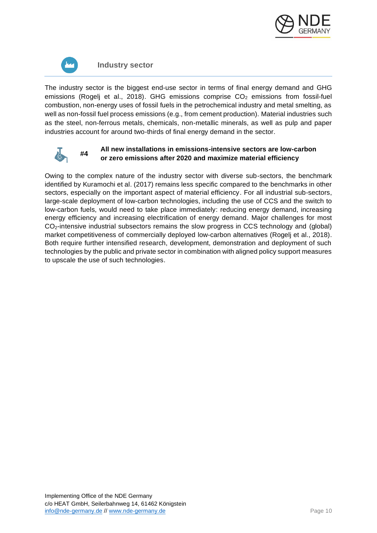



#### **Industry sector**

The industry sector is the biggest end-use sector in terms of final energy demand and GHG emissions (Rogelj et al., 2018). GHG emissions comprise  $CO<sub>2</sub>$  emissions from fossil-fuel combustion, non-energy uses of fossil fuels in the petrochemical industry and metal smelting, as well as non-fossil fuel process emissions (e.g., from cement production). Material industries such as the steel, non-ferrous metals, chemicals, non-metallic minerals, as well as pulp and paper industries account for around two-thirds of final energy demand in the sector.



**#4**

#### **All new installations in emissions-intensive sectors are low-carbon or zero emissions after 2020 and maximize material efficiency**

Owing to the complex nature of the industry sector with diverse sub-sectors, the benchmark identified by Kuramochi et al. (2017) remains less specific compared to the benchmarks in other sectors, especially on the important aspect of material efficiency. For all industrial sub-sectors, large-scale deployment of low-carbon technologies, including the use of CCS and the switch to low-carbon fuels, would need to take place immediately: reducing energy demand, increasing energy efficiency and increasing electrification of energy demand. Major challenges for most CO2-intensive industrial subsectors remains the slow progress in CCS technology and (global) market competitiveness of commercially deployed low-carbon alternatives (Rogelj et al., 2018). Both require further intensified research, development, demonstration and deployment of such technologies by the public and private sector in combination with aligned policy support measures to upscale the use of such technologies.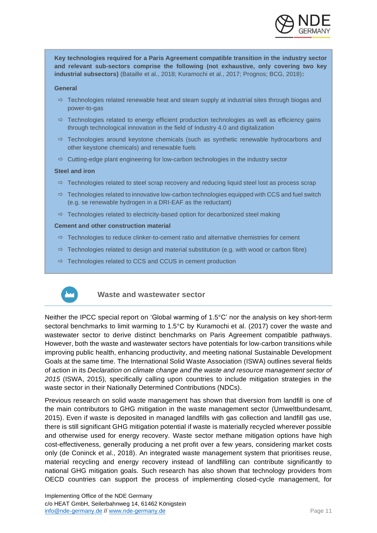

**Key technologies required for a Paris Agreement compatible transition in the industry sector and relevant sub-sectors comprise the following (not exhaustive, only covering two key industrial subsectors)** (Bataille et al., 2018; Kuramochi et al., 2017; Prognos; BCG, 2018)**:** 

#### **General**

- $\Rightarrow$  Technologies related renewable heat and steam supply at industrial sites through biogas and power-to-gas
- $\Rightarrow$  Technologies related to energy efficient production technologies as well as efficiency gains through technological innovation in the field of Industry 4.0 and digitalization
- $\Rightarrow$  Technologies around keystone chemicals (such as synthetic renewable hydrocarbons and other keystone chemicals) and renewable fuels
- $\Rightarrow$  Cutting-edge plant engineering for low-carbon technologies in the industry sector

#### **Steel and iron**

- $\Rightarrow$  Technologies related to steel scrap recovery and reducing liquid steel lost as process scrap
- $\Rightarrow$  Technologies related to innovative low-carbon technologies equipped with CCS and fuel switch (e.g. se renewable hydrogen in a DRI-EAF as the reductant)
- $\Rightarrow$  Technologies related to electricity-based option for decarbonized steel making

#### **Cement and other construction material**

- $\Rightarrow$  Technologies to reduce clinker-to-cement ratio and alternative chemistries for cement
- $\Rightarrow$  Technologies related to design and material substitution (e.g. with wood or carbon fibre)
- $\Rightarrow$  Technologies related to CCS and CCUS in cement production



**Waste and wastewater sector**

Neither the IPCC special report on 'Global warming of 1.5°C' nor the analysis on key short-term sectoral benchmarks to limit warming to 1.5°C by Kuramochi et al. (2017) cover the waste and wastewater sector to derive distinct benchmarks on Paris Agreement compatible pathways. However, both the waste and wastewater sectors have potentials for low-carbon transitions while improving public health, enhancing productivity, and meeting national Sustainable Development Goals at the same time. The International Solid Waste Association (ISWA) outlines several fields of action in its *Declaration on climate change and the waste and resource management sector of 2015* (ISWA, 2015)*,* specifically calling upon countries to include mitigation strategies in the waste sector in their Nationally Determined Contributions (NDCs).

Previous research on solid waste management has shown that diversion from landfill is one of the main contributors to GHG mitigation in the waste management sector (Umweltbundesamt, 2015). Even if waste is deposited in managed landfills with gas collection and landfill gas use, there is still significant GHG mitigation potential if waste is materially recycled wherever possible and otherwise used for energy recovery. Waste sector methane mitigation options have high cost-effectiveness, generally producing a net profit over a few years, considering market costs only (de Coninck et al., 2018). An integrated waste management system that prioritises reuse, material recycling and energy recovery instead of landfilling can contribute significantly to national GHG mitigation goals. Such research has also shown that technology providers from OECD countries can support the process of implementing closed-cycle management, for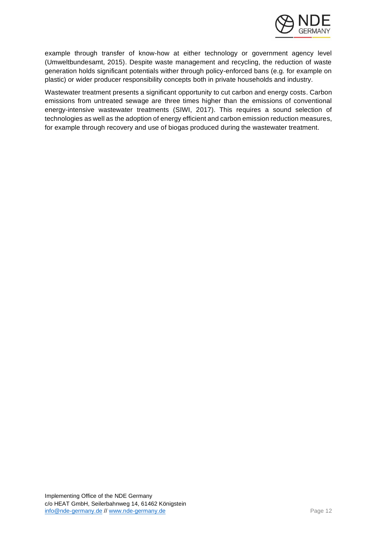

example through transfer of know-how at either technology or government agency level (Umweltbundesamt, 2015). Despite waste management and recycling, the reduction of waste generation holds significant potentials wither through policy-enforced bans (e.g. for example on plastic) or wider producer responsibility concepts both in private households and industry.

Wastewater treatment presents a significant opportunity to cut carbon and energy costs. Carbon emissions from untreated sewage are three times higher than the emissions of conventional energy-intensive wastewater treatments (SIWI, 2017). This requires a sound selection of technologies as well as the adoption of energy efficient and carbon emission reduction measures, for example through recovery and use of biogas produced during the wastewater treatment.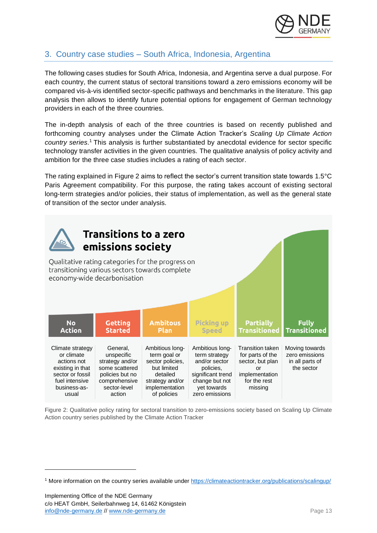

# <span id="page-12-0"></span>3. Country case studies – South Africa, Indonesia, Argentina

The following cases studies for South Africa, Indonesia, and Argentina serve a dual purpose. For each country, the current status of sectoral transitions toward a zero emissions economy will be compared vis-à-vis identified sector-specific pathways and benchmarks in the literature. This gap analysis then allows to identify future potential options for engagement of German technology providers in each of the three countries.

The in-depth analysis of each of the three countries is based on recently published and forthcoming country analyses under the Climate Action Tracker's *Scaling Up Climate Action country series*. <sup>1</sup> This analysis is further substantiated by anecdotal evidence for sector specific technology transfer activities in the given countries. The qualitative analysis of policy activity and ambition for the three case studies includes a rating of each sector.

The rating explained in Figure 2 aims to reflect the sector's current transition state towards 1.5°C Paris Agreement compatibility. For this purpose, the rating takes account of existing sectoral long-term strategies and/or policies, their status of implementation, as well as the general state of transition of the sector under analysis.



Figure 2: Qualitative policy rating for sectoral transition to zero-emissions society based on Scaling Up Climate Action country series published by the Climate Action Tracker

<sup>&</sup>lt;sup>1</sup> More information on the country series available under https://climateactiontracker.org/publications/scalingup/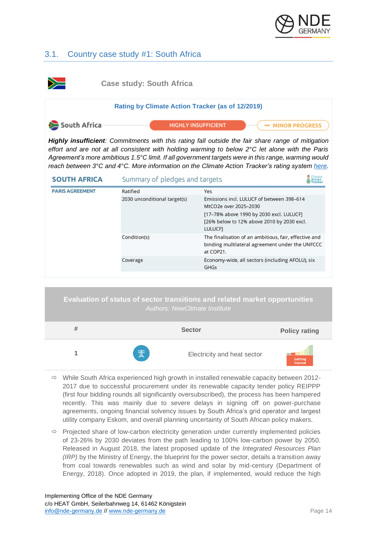

## <span id="page-13-0"></span>3.1. Country case study #1: South Africa



**Case study: South Africa**

#### **Rating by Climate Action Tracker (as of 12/2019)** South Africa **HIGHLY INSUFFICIENT** - MINOR PROGRESS

*Highly insufficient: Commitments with this rating fall outside the fair share range of mitigation effort and are not at all consistent with holding warming to below 2°C let alone with the Paris Agreement's more ambitious 1.5°C limit. If all government targets were in this range, warming would reach between 3°C and 4°C. More information on the Climate Action Tracker's rating system [here.](https://climateactiontracker.org/methodology/comparability-of-effort/)*

| <b>SOUTH AFRICA</b>    | Summary of pledges and targets |                                                                                                                       |
|------------------------|--------------------------------|-----------------------------------------------------------------------------------------------------------------------|
| <b>PARIS AGREEMENT</b> | Ratified                       | Yes                                                                                                                   |
|                        | 2030 unconditional target(s)   | Emissions incl. LULUCF of between 398-614<br>MtCO2e over 2025-2030                                                    |
|                        |                                | [17-78% above 1990 by 2030 excl. LULUCF]<br>[26% below to 12% above 2010 by 2030 excl.<br>LULUCFI                     |
|                        | Condition(s)                   | The finalisation of an ambitious, fair, effective and<br>binding multilateral agreement under the UNFCCC<br>at COP21. |
|                        | Coverage                       | Economy-wide, all sectors (including AFOLU), six<br><b>GHGs</b>                                                       |

# **Evaluation of status of sector transitions and related market opportunities # Sector Policy rating**



- $\Rightarrow$  While South Africa experienced high growth in installed renewable capacity between 2012-2017 due to successful procurement under its renewable capacity tender policy REIPPP (first four bidding rounds all significantly oversubscribed), the process has been hampered recently. This was mainly due to severe delays in signing off on power-purchase agreements, ongoing financial solvency issues by South Africa's grid operator and largest utility company Eskom, and overall planning uncertainty of South African policy makers.
- $\Rightarrow$  Projected share of low-carbon electricity generation under currently implemented policies of 23-26% by 2030 deviates from the path leading to 100% low-carbon power by 2050. Released in August 2018, the latest proposed update of the *Integrated Resources Plan (IRP)* by the Ministry of Energy, the blueprint for the power sector, details a transition away from coal towards renewables such as wind and solar by mid-century (Department of Energy, 2018). Once adopted in 2019, the plan, if implemented, would reduce the high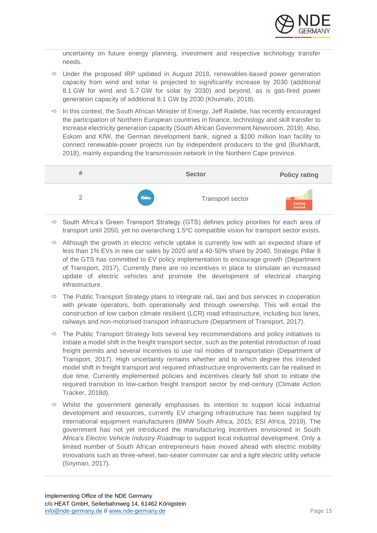

uncertainty on future energy planning, investment and respective technology transfer needs.

- $\Rightarrow$  Under the proposed IRP updated in August 2018, renewables-based power generation capacity from wind and solar is projected to significantly increase by 2030 (additional 8.1 GW for wind and 5.7 GW for solar by 2030) and beyond, as is gas-fired power generation capacity of additional 8.1 GW by 2030 (Khumalo, 2018).
- $\Rightarrow$  In this context, the South African Minister of Energy, Jeff Radebe, has recently encouraged the participation of Northern European countries in finance, technology and skill transfer to increase electricity generation capacity (South African Government Newsroom, 2019). Also, Eskom and KfW, the German development bank, signed a \$100 million loan facility to connect renewable-power projects run by independent producers to the grid (Burkhardt, 2018), mainly expanding the transmission network in the Northern Cape province.



- $\Rightarrow$  South Africa's Green Transport Strategy (GTS) defines policy priorities for each area of transport until 2050, yet no overarching 1.5°C compatible vision for transport sector exists.
- $\Rightarrow$  Although the growth in electric vehicle uptake is currently low with an expected share of less than 1% EVs in new car sales by 2020 and a 40-50% share by 2040, Strategic Pillar 8 of the GTS has committed to EV policy implementation to encourage growth (Department of Transport, 2017). Currently there are no incentives in place to stimulate an increased update of electric vehicles and promote the development of electrical charging infrastructure.
- $\Rightarrow$  The Public Transport Strategy plans to integrate rail, taxi and bus services in cooperation with private operators, both operationally and through ownership. This will entail the construction of low carbon climate resilient (LCR) road infrastructure, including bus lanes, railways and non-motorised transport infrastructure (Department of Transport, 2017).
- $\Rightarrow$  The Public Transport Strategy lists several key recommendations and policy initiatives to initiate a model shift in the freight transport sector, such as the potential introduction of road freight permits and several incentives to use rail modes of transportation (Department of Transport, 2017). High uncertainty remains whether and to which degree this intended model shift in freight transport and required infrastructure improvements can be realised in due time. Currently implemented policies and incentives clearly fall short to initiate the required transition to low-carbon freight transport sector by mid-century (Climate Action Tracker, 2018d).
- $\Rightarrow$  Whilst the government generally emphasises its intention to support local industrial development and resources, currently EV charging infrastructure has been supplied by international equipment manufacturers (BMW South Africa, 2015; ESI Africa, 2019). The government has not yet introduced the manufacturing incentives envisioned in South Africa's *Electric Vehicle Industry Roadmap* to support local industrial development. Only a limited number of South African entrepreneurs have moved ahead with electric mobility innovations such as three-wheel, two-seater commuter car and a light electric utility vehicle (Snyman, 2017).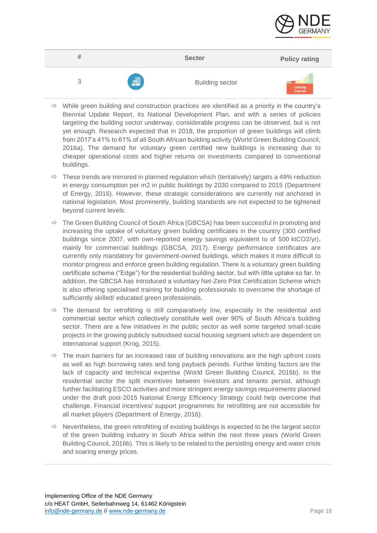

| #      |   | <b>Sector</b>          | <b>Policy rating</b> |
|--------|---|------------------------|----------------------|
| 2<br>J | 畾 | <b>Building sector</b> | Getting<br>Started   |

- $\Rightarrow$  While green building and construction practices are identified as a priority in the country's Biennial Update Report, its National Development Plan, and with a series of policies targeting the building sector underway, considerable progress can be observed, but is not yet enough. Research expected that in 2018, the proportion of green buildings will climb from 2017's 41% to 61% of all South African building activity (World Green Building Council, 2016a). The demand for voluntary green certified new buildings is increasing due to cheaper operational costs and higher returns on investments compared to conventional buildings.
- $\Rightarrow$  These trends are mirrored in planned regulation which (tentatively) targets a 49% reduction in energy consumption per m2 in public buildings by 2030 compared to 2015 (Department of Energy, 2016). However, these strategic considerations are currently not anchored in national legislation. Most prominently, building standards are not expected to be tightened beyond current levels.
- $\Rightarrow$  The Green Building Council of South Africa (GBCSA) has been successful in promoting and increasing the uptake of voluntary green building certificates in the country (300 certified buildings since 2007, with own-reported energy savings equivalent to of 500 ktCO2/yr), mainly for commercial buildings (GBCSA, 2017). Energy performance certificates are currently only mandatory for government-owned buildings, which makes it more difficult to monitor progress and enforce green building regulation. There is a voluntary green building certificate scheme ("Edge") for the residential building sector, but with little uptake so far. In addition, the GBCSA has introduced a voluntary Net-Zero Pilot Certification Scheme which is also offering specialised training for building professionals to overcome the shortage of sufficiently skilled/ educated green professionals.
- $\Rightarrow$  The demand for retrofitting is still comparatively low, especially in the residential and commercial sector which collectively constitute well over 90% of South Africa's building sector. There are a few initiatives in the public sector as well some targeted small-scale projects in the growing publicly subsidised social housing segment which are dependent on international support (Krog, 2015).
- $\Rightarrow$  The main barriers for an increased rate of building renovations are the high upfront costs as well as high borrowing rates and long payback periods. Further limiting factors are the lack of capacity and technical expertise (World Green Building Council, 2016b). In the residential sector the split incentives between investors and tenants persist, although further facilitating ESCO activities and more stringent energy savings requirements planned under the draft post-2015 National Energy Efficiency Strategy could help overcome that challenge. Financial incentives/ support programmes for retrofitting are not accessible for all market players (Department of Energy, 2016).
- $\Rightarrow$  Nevertheless, the green retrofitting of existing buildings is expected to be the largest sector of the green building industry in South Africa within the next three years (World Green Building Council, 2016b). This is likely to be related to the persisting energy and water crisis and soaring energy prices.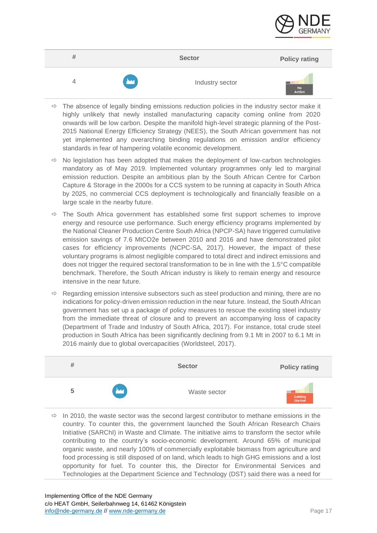

|             | <b>Sector</b>   | <b>Policy rating</b> |
|-------------|-----------------|----------------------|
| <u> 199</u> | Industry sector | <b>No</b><br>Action  |

- $\Rightarrow$  The absence of legally binding emissions reduction policies in the industry sector make it highly unlikely that newly installed manufacturing capacity coming online from 2020 onwards will be low carbon. Despite the manifold high-level strategic planning of the Post-2015 National Energy Efficiency Strategy (NEES), the South African government has not yet implemented any overarching binding regulations on emission and/or efficiency standards in fear of hampering volatile economic development.
- $\Rightarrow$  No legislation has been adopted that makes the deployment of low-carbon technologies mandatory as of May 2019. Implemented voluntary programmes only led to marginal emission reduction. Despite an ambitious plan by the South African Centre for Carbon Capture & Storage in the 2000s for a CCS system to be running at capacity in South Africa by 2025, no commercial CCS deployment is technologically and financially feasible on a large scale in the nearby future.
- $\Rightarrow$  The South Africa government has established some first support schemes to improve energy and resource use performance. Such energy efficiency programs implemented by the National Cleaner Production Centre South Africa (NPCP-SA) have triggered cumulative emission savings of 7.6 MtCO2e between 2010 and 2016 and have demonstrated pilot cases for efficiency improvements (NCPC-SA, 2017). However, the impact of these voluntary programs is almost negligible compared to total direct and indirect emissions and does not trigger the required sectoral transformation to be in line with the 1.5°C compatible benchmark. Therefore, the South African industry is likely to remain energy and resource intensive in the near future.
- $\Rightarrow$  Regarding emission intensive subsectors such as steel production and mining, there are no indications for policy-driven emission reduction in the near future. Instead, the South African government has set up a package of policy measures to rescue the existing steel industry from the immediate threat of closure and to prevent an accompanying loss of capacity (Department of Trade and Industry of South Africa, 2017). For instance, total crude steel production in South Africa has been significantly declining from 9.1 Mt in 2007 to 6.1 Mt in 2016 mainly due to global overcapacities (Worldsteel, 2017).



 $\Rightarrow$  In 2010, the waste sector was the second largest contributor to methane emissions in the country. To counter this, the government launched the South African Research Chairs Initiative (SARChI) in Waste and Climate. The initiative aims to transform the sector while contributing to the country's socio-economic development. Around 65% of municipal organic waste, and nearly 100% of commercially exploitable biomass from agriculture and food processing is still disposed of on land, which leads to high GHG emissions and a lost opportunity for fuel. To counter this, the Director for Environmental Services and Technologies at the Department Science and Technology (DST) said there was a need for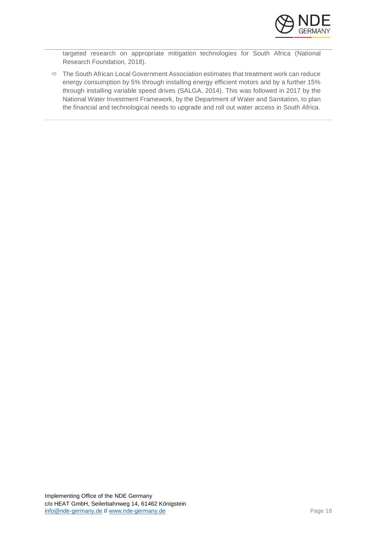

targeted research on appropriate mitigation technologies for South Africa (National Research Foundation, 2018).

 $\Rightarrow$  The South African Local Government Association estimates that treatment work can reduce energy consumption by 5% through installing energy efficient motors and by a further 15% through installing variable speed drives (SALGA, 2014). This was followed in 2017 by the National Water Investment Framework, by the Department of Water and Sanitation, to plan the financial and technological needs to upgrade and roll out water access in South Africa.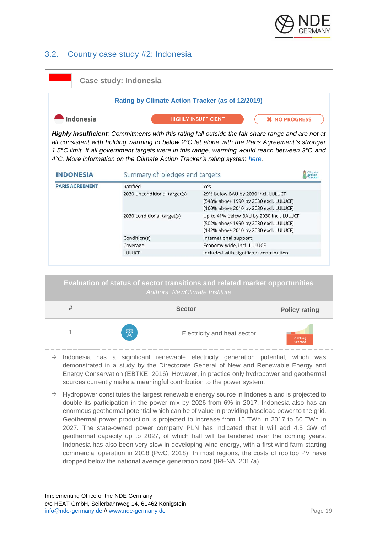

# <span id="page-18-0"></span>3.2. Country case study #2: Indonesia





- $\Rightarrow$  Indonesia has a significant renewable electricity generation potential, which was demonstrated in a study by the Directorate General of New and Renewable Energy and Energy Conservation (EBTKE, 2016). However, in practice only hydropower and geothermal sources currently make a meaningful contribution to the power system.
- $\Rightarrow$  Hydropower constitutes the largest renewable energy source in Indonesia and is projected to double its participation in the power mix by 2026 from 6% in 2017. Indonesia also has an enormous geothermal potential which can be of value in providing baseload power to the grid. Geothermal power production is projected to increase from 15 TWh in 2017 to 50 TWh in 2027. The state-owned power company PLN has indicated that it will add 4.5 GW of geothermal capacity up to 2027, of which half will be tendered over the coming years. Indonesia has also been very slow in developing wind energy, with a first wind farm starting commercial operation in 2018 (PwC, 2018). In most regions, the costs of rooftop PV have dropped below the national average generation cost (IRENA, 2017a).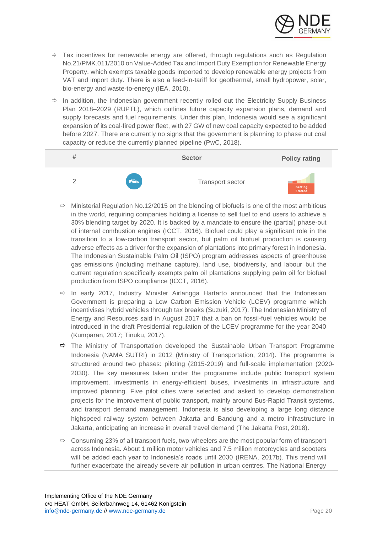

- $\Rightarrow$  Tax incentives for renewable energy are offered, through regulations such as Regulation No.21/PMK.011/2010 on Value-Added Tax and Import Duty Exemption for Renewable Energy Property, which exempts taxable goods imported to develop renewable energy projects from VAT and import duty. There is also a feed-in-tariff for geothermal, small hydropower, solar, bio-energy and waste-to-energy (IEA, 2010).
- $\Rightarrow$  In addition, the Indonesian government recently rolled out the Electricity Supply Business Plan 2018–2029 (RUPTL), which outlines future capacity expansion plans, demand and supply forecasts and fuel requirements. Under this plan, Indonesia would see a significant expansion of its coal-fired power fleet, with 27 GW of new coal capacity expected to be added before 2027. There are currently no signs that the government is planning to phase out coal capacity or reduce the currently planned pipeline (PwC, 2018).

| # |                          | <b>Sector</b>    | <b>Policy rating</b> |
|---|--------------------------|------------------|----------------------|
|   | $\overline{\phantom{a}}$ | Transport sector | Getting<br>Started   |

- $\Rightarrow$  Ministerial Regulation No.12/2015 on the blending of biofuels is one of the most ambitious in the world, requiring companies holding a license to sell fuel to end users to achieve a 30% blending target by 2020. It is backed by a mandate to ensure the (partial) phase-out of internal combustion engines (ICCT, 2016). Biofuel could play a significant role in the transition to a low-carbon transport sector, but palm oil biofuel production is causing adverse effects as a driver for the expansion of plantations into primary forest in Indonesia. The Indonesian Sustainable Palm Oil (ISPO) program addresses aspects of greenhouse gas emissions (including methane capture), land use, biodiversity, and labour but the current regulation specifically exempts palm oil plantations supplying palm oil for biofuel production from ISPO compliance (ICCT, 2016).
- $\Rightarrow$  In early 2017, Industry Minister Airlangga Hartarto announced that the Indonesian Government is preparing a Low Carbon Emission Vehicle (LCEV) programme which incentivises hybrid vehicles through tax breaks (Suzuki, 2017). The Indonesian Ministry of Energy and Resources said in August 2017 that a ban on fossil-fuel vehicles would be introduced in the draft Presidential regulation of the LCEV programme for the year 2040 (Kumparan, 2017; Tinuku, 2017).
- $\Rightarrow$  The Ministry of Transportation developed the Sustainable Urban Transport Programme Indonesia (NAMA SUTRI) in 2012 (Ministry of Transportation, 2014). The programme is structured around two phases: piloting (2015-2019) and full-scale implementation (2020- 2030). The key measures taken under the programme include public transport system improvement, investments in energy-efficient buses, investments in infrastructure and improved planning. Five pilot cities were selected and asked to develop demonstration projects for the improvement of public transport, mainly around Bus-Rapid Transit systems, and transport demand management. Indonesia is also developing a large long distance highspeed railway system between Jakarta and Bandung and a metro infrastructure in Jakarta, anticipating an increase in overall travel demand (The Jakarta Post, 2018).
- $\Rightarrow$  Consuming 23% of all transport fuels, two-wheelers are the most popular form of transport across Indonesia. About 1 million motor vehicles and 7.5 million motorcycles and scooters will be added each year to Indonesia's roads until 2030 (IRENA, 2017b). This trend will further exacerbate the already severe air pollution in urban centres. The National Energy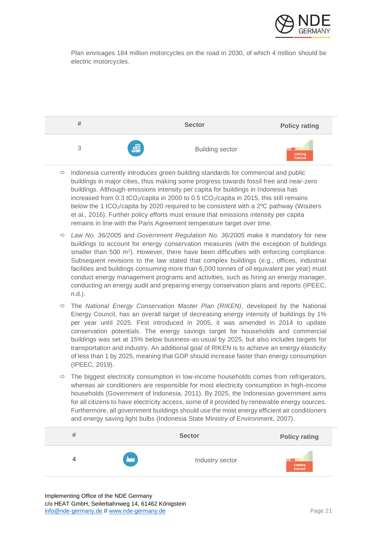

Plan envisages 184 million motorcycles on the road in 2030, of which 4 million should be electric motorcycles.



- $\Rightarrow$  Indonesia currently introduces green building standards for commercial and public buildings in major cities, thus making some progress towards fossil free and near-zero buildings. Although emissions intensity per capita for buildings in Indonesia has increased from  $0.3 \text{ tCO}_2/\text{capita}$  in 2000 to  $0.5 \text{ tCO}_2/\text{capita}$  in 2015, this still remains below the 1 tCO2/capita by 2020 required to be consistent with a 2ºC pathway (Wouters et al., 2016). Further policy efforts must ensure that emissions intensity per capita remains in line with the Paris Agreement temperature target over time.
- *Law No. 36/2005* and *Government Regulation No. 36/2005* make it mandatory for new buildings to account for energy conservation measures (with the exception of buildings smaller than 500 m<sup>2</sup>). However, there have been difficulties with enforcing compliance. Subsequent revisions to the law stated that complex buildings (e.g., offices, industrial facilities and buildings consuming more than 6,000 tonnes of oil equivalent per year) must conduct energy management programs and activities, such as hiring an energy manager, conducting an energy audit and preparing energy conservation plans and reports (IPEEC, n.d.).
- The *National Energy Conservation Master Plan (RIKEN)*, developed by the National Energy Council, has an overall target of decreasing energy intensity of buildings by 1% per year until 2025. First introduced in 2005, it was amended in 2014 to update conservation potentials. The energy savings target for households and commercial buildings was set at 15% below business-as-usual by 2025, but also includes targets for transportation and industry. An additional goal of RIKEN is to achieve an energy elasticity of less than 1 by 2025, meaning that GDP should increase faster than energy consumption (IPEEC, 2019).
- $\Rightarrow$  The biggest electricity consumption in low-income households comes from refrigerators, whereas air conditioners are responsible for most electricity consumption in high-income households (Government of Indonesia, 2011). By 2025, the Indonesian government aims for all citizens to have electricity access, some of it provided by renewable energy sources. Furthermore, all government buildings should use the most energy efficient air conditioners and energy saving light bulbs (Indonesia State Ministry of Environment, 2007).

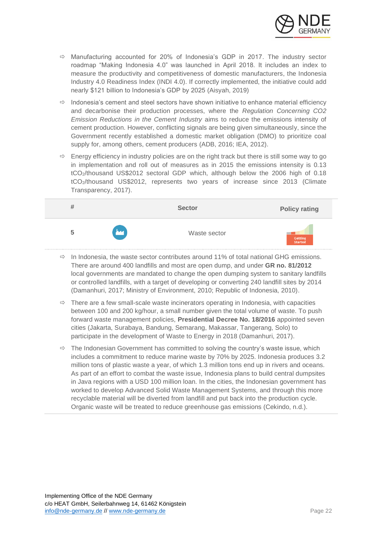

- $\Rightarrow$  Manufacturing accounted for 20% of Indonesia's GDP in 2017. The industry sector roadmap "Making Indonesia 4.0" was launched in April 2018. It includes an index to measure the productivity and competitiveness of domestic manufacturers, the Indonesia Industry 4.0 Readiness Index (INDI 4.0). If correctly implemented, the initiative could add nearly \$121 billion to Indonesia's GDP by 2025 (Aisyah, 2019)
- $\Rightarrow$  Indonesia's cement and steel sectors have shown initiative to enhance material efficiency and decarbonise their production processes, where the *Regulation Concerning CO2 Emission Reductions in the Cement Industry* aims to reduce the emissions intensity of cement production. However, conflicting signals are being given simultaneously, since the Government recently established a domestic market obligation (DMO) to prioritize coal supply for, among others, cement producers (ADB, 2016; IEA, 2012).
- $\Rightarrow$  Energy efficiency in industry policies are on the right track but there is still some way to go in implementation and roll out of measures as in 2015 the emissions intensity is 0.13 tCO2/thousand US\$2012 sectoral GDP which, although below the 2006 high of 0.18 tCO2/thousand US\$2012, represents two years of increase since 2013 (Climate Transparency, 2017).

| # |              | <b>Sector</b> | <b>Policy rating</b>      |
|---|--------------|---------------|---------------------------|
| ა | $\mathbf{M}$ | Waste sector  | Getting<br><b>Started</b> |

- $\Rightarrow$  In Indonesia, the waste sector contributes around 11% of total national GHG emissions. There are around 400 landfills and most are open dump, and under **GR no. 81/2012** local governments are mandated to change the open dumping system to sanitary landfills or controlled landfills, with a target of developing or converting 240 landfill sites by 2014 (Damanhuri, 2017; Ministry of Environment, 2010; Republic of Indonesia, 2010).
- $\Rightarrow$  There are a few small-scale waste incinerators operating in Indonesia, with capacities between 100 and 200 kg/hour, a small number given the total volume of waste. To push forward waste management policies, **Presidential Decree No. 18/2016** appointed seven cities (Jakarta, Surabaya, Bandung, Semarang, Makassar, Tangerang, Solo) to participate in the development of Waste to Energy in 2018 (Damanhuri, 2017).
- $\Rightarrow$  The Indonesian Government has committed to solving the country's waste issue, which includes a commitment to reduce marine waste by 70% by 2025. Indonesia produces 3.2 million tons of plastic waste a year, of which 1.3 million tons end up in rivers and oceans. As part of an effort to combat the waste issue, Indonesia plans to build central dumpsites in Java regions with a USD 100 million loan. In the cities, the Indonesian government has worked to develop Advanced Solid Waste Management Systems, and through this more recyclable material will be diverted from landfill and put back into the production cycle. Organic waste will be treated to reduce greenhouse gas emissions (Cekindo, n.d.).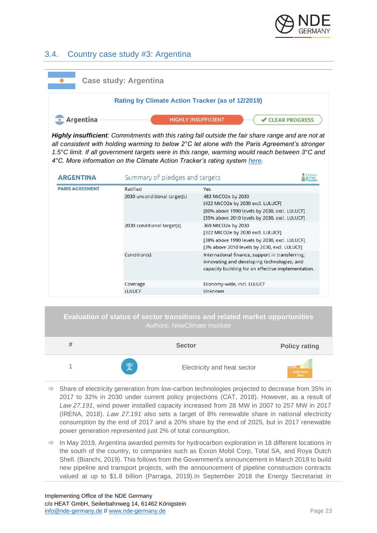

# <span id="page-22-0"></span>3.4. Country case study #3: Argentina



*Highly insufficient: Commitments with this rating fall outside the fair share range and are not at all consistent with holding warming to below 2°C let alone with the Paris Agreement's stronger 1.5°C limit. If all government targets were in this range, warming would reach between 3°C and 4°C. More information on the Climate Action Tracker's rating system [here.](https://climateactiontracker.org/methodology/comparability-of-effort/)*

| <b>ARGENTINA</b>       | Summary of pledges and targets |                                                                                                                                                           |  |
|------------------------|--------------------------------|-----------------------------------------------------------------------------------------------------------------------------------------------------------|--|
| <b>PARIS AGREEMENT</b> | Ratified                       | Yes                                                                                                                                                       |  |
|                        | 2030 unconditional target(s)   | 483 MtCO2e by 2030<br>[422 MtCO2e by 2030 excl. LULUCF]<br>[80% above 1990 levels by 2030, excl. LULUCF]<br>[35% above 2010 levels by 2030, excl. LULUCF] |  |
|                        | 2030 conditional target(s)     | 369 MtCO2e by 2030<br>[322 MtCO2e by 2030 excl. LULUCF]<br>[38% above 1990 levels by 2030, excl. LULUCF]<br>[3% above 2010 levels by 2030, excl. LULUCF]  |  |
|                        | Condition(s)                   | International finance, support in transferring;<br>innovating and developing technologies; and<br>capacity building for an effective implementation.      |  |
|                        | Coverage<br><b>LULUCF</b>      | Economy-wide, incl. LULUCF<br><b>Unknown</b>                                                                                                              |  |





- $\Rightarrow$  Share of electricity generation from low-carbon technologies projected to decrease from 35% in 2017 to 32% in 2030 under current policy projections (CAT, 2018). However, as a result of *Law 27.191*, wind power installed capacity increased from 28 MW in 2007 to 257 MW in 2017 (IRENA, 2018). *Law 27.191* also sets a target of 8% renewable share in national electricity consumption by the end of 2017 and a 20% share by the end of 2025, but in 2017 renewable power generation represented just 2% of total consumption.
- $\Rightarrow$  In May 2019, Argentina awarded permits for hydrocarbon exploration in 18 different locations in the south of the country, to companies such as Exxon Mobil Corp, Total SA, and Roya Dutch Shell. (Bianchi, 2019). This follows from the Government's announcement in March 2019 to build new pipeline and transport projects, with the announcement of pipeline construction contracts valued at up to \$1.8 billion (Parraga, 2019).In September 2018 the Energy Secretariat in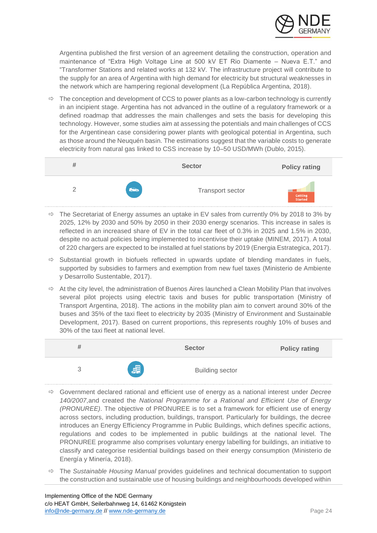

Argentina published the first version of an agreement detailing the construction, operation and maintenance of "Extra High Voltage Line at 500 kV ET Rio Diamente – Nueva E.T." and "Transformer Stations and related works at 132 kV. The infrastructure project will contribute to the supply for an area of Argentina with high demand for electricity but structural weaknesses in the network which are hampering regional development (La República Argentina, 2018).

 $\Rightarrow$  The conception and development of CCS to power plants as a low-carbon technology is currently in an incipient stage. Argentina has not advanced in the outline of a regulatory framework or a defined roadmap that addresses the main challenges and sets the basis for developing this technology. However, some studies aim at assessing the potentials and main challenges of CCS for the Argentinean case considering power plants with geological potential in Argentina, such as those around the Neuquén basin. The estimations suggest that the variable costs to generate electricity from natural gas linked to CSS increase by 10–50 USD/MWh (Dublo, 2015).



- $\Rightarrow$  The Secretariat of Energy assumes an uptake in EV sales from currently 0% by 2018 to 3% by 2025, 12% by 2030 and 50% by 2050 in their 2030 energy scenarios. This increase in sales is reflected in an increased share of EV in the total car fleet of 0.3% in 2025 and 1.5% in 2030, despite no actual policies being implemented to incentivise their uptake (MINEM, 2017). A total of 220 chargers are expected to be installed at fuel stations by 2019 (Energia Estrategica, 2017).
- $\Rightarrow$  Substantial growth in biofuels reflected in upwards update of blending mandates in fuels, supported by subsidies to farmers and exemption from new fuel taxes (Ministerio de Ambiente y Desarrollo Sustentable, 2017).
- $\Rightarrow$  At the city level, the administration of Buenos Aires launched a Clean Mobility Plan that involves several pilot projects using electric taxis and buses for public transportation (Ministry of Transport Argentina, 2018). The actions in the mobility plan aim to convert around 30% of the buses and 35% of the taxi fleet to electricity by 2035 (Ministry of Environment and Sustainable Development, 2017). Based on current proportions, this represents roughly 10% of buses and 30% of the taxi fleet at national level.

|          | <b>Sector</b>          | <b>Policy rating</b> |
|----------|------------------------|----------------------|
| 冊<br>商用的 | <b>Building sector</b> |                      |

- Government declared rational and efficient use of energy as a national interest under *Decree 140/2007*,and created the *National Programme for a Rational and Efficient Use of Energy (PRONUREE)*. The objective of PRONUREE is to set a framework for efficient use of energy across sectors, including production, buildings, transport. Particularly for buildings, the decree introduces an Energy Efficiency Programme in Public Buildings, which defines specific actions, regulations and codes to be implemented in public buildings at the national level. The PRONUREE programme also comprises voluntary energy labelling for buildings, an initiative to classify and categorise residential buildings based on their energy consumption (Ministerio de Energía y Minería, 2018).
- The *Sustainable Housing Manual* provides guidelines and technical documentation to support the construction and sustainable use of housing buildings and neighbourhoods developed within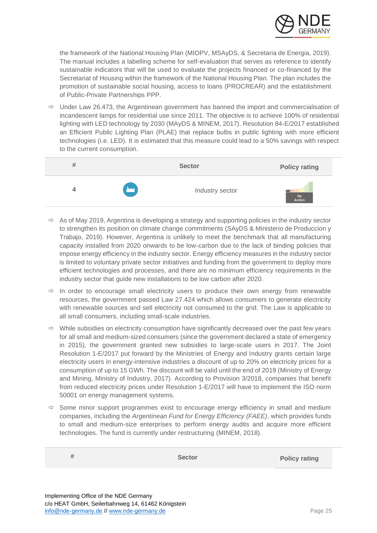

the framework of the National Housing Plan (MIOPV, MSAyDS, & Secretaria de Energia, 2019). The manual includes a labelling scheme for self-evaluation that serves as reference to identify sustainable indicators that will be used to evaluate the projects financed or co-financed by the Secretariat of Housing within the framework of the National Housing Plan. The plan includes the promotion of sustainable social housing, access to loans (PROCREAR) and the establishment of Public-Private Partnerships PPP.

 $\Rightarrow$  Under Law 26.473, the Argentinean government has banned the import and commercialisation of incandescent lamps for residential use since 2011. The objective is to achieve 100% of residential lighting with LED technology by 2030 (MAyDS & MINEM, 2017). Resolution 84-E/2017 established an Efficient Public Lighting Plan (PLAE) that replace bulbs in public lighting with more efficient technologies (i.e. LED). It is estimated that this measure could lead to a 50% savings with respect to the current consumption.

| # |              | <b>Sector</b>   | <b>Policy rating</b> |
|---|--------------|-----------------|----------------------|
|   | $\mathbf{w}$ | Industry sector | No<br>Action         |

- $\Rightarrow$  As of May 2019, Argentina is developing a strategy and supporting policies in the industry sector to strengthen its position on climate change commitments (SAyDS & Ministerio de Produccion y Trabajo, 2019). However, Argentina is unlikely to meet the benchmark that all manufacturing capacity installed from 2020 onwards to be low-carbon due to the lack of binding policies that impose energy efficiency in the industry sector. Energy efficiency measures in the industry sector is limited to voluntary private sector initiatives and funding from the government to deploy more efficient technologies and processes, and there are no minimum efficiency requirements in the industry sector that guide new installations to be low carbon after 2020.
- $\Rightarrow$  In order to encourage small electricity users to produce their own energy from renewable resources, the government passed Law 27.424 which allows consumers to generate electricity with renewable sources and sell electricity not consumed to the grid. The Law is applicable to all small consumers, including small-scale industries.
- $\Rightarrow$  While subsidies on electricity consumption have significantly decreased over the past few years for all small and medium-sized consumers (since the government declared a state of emergency in 2015), the government granted new subsidies to large-scale users in 2017. The Joint Resolution 1-E/2017 put forward by the Ministries of Energy and Industry grants certain large electricity users in energy-intensive industries a discount of up to 20% on electricity prices for a consumption of up to 15 GWh. The discount will be valid until the end of 2019 (Ministry of Energy and Mining, Ministry of Industry, 2017). According to Provision 3/2018, companies that benefit from reduced electricity prices under Resolution 1-E/2017 will have to implement the ISO norm 50001 on energy management systems.
- $\Rightarrow$  Some minor support programmes exist to encourage energy efficiency in small and medium companies, including the *Argentinean Fund for Energy Efficiency (FAEE)*, which provides funds to small and medium-size enterprises to perform energy audits and acquire more efficient technologies. The fund is currently under restructuring (MINEM, 2018).

| # | <b>Sector</b> | <b>Policy rating</b> |
|---|---------------|----------------------|
|   |               |                      |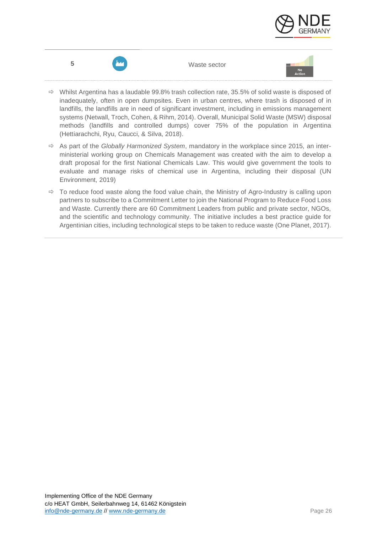



**5** Waste sector



- $\Rightarrow$  Whilst Argentina has a laudable 99.8% trash collection rate, 35.5% of solid waste is disposed of inadequately, often in open dumpsites. Even in urban centres, where trash is disposed of in landfills, the landfills are in need of significant investment, including in emissions management systems (Netwall, Troch, Cohen, & Rihm, 2014). Overall, Municipal Solid Waste (MSW) disposal methods (landfills and controlled dumps) cover 75% of the population in Argentina (Hettiarachchi, Ryu, Caucci, & Silva, 2018).
- As part of the *Globally Harmonized System*, mandatory in the workplace since 2015, an interministerial working group on Chemicals Management was created with the aim to develop a draft proposal for the first National Chemicals Law. This would give government the tools to evaluate and manage risks of chemical use in Argentina, including their disposal (UN Environment, 2019)
- $\Rightarrow$  To reduce food waste along the food value chain, the Ministry of Agro-Industry is calling upon partners to subscribe to a Commitment Letter to join the National Program to Reduce Food Loss and Waste. Currently there are 60 Commitment Leaders from public and private sector, NGOs, and the scientific and technology community. The initiative includes a best practice guide for Argentinian cities, including technological steps to be taken to reduce waste (One Planet, 2017).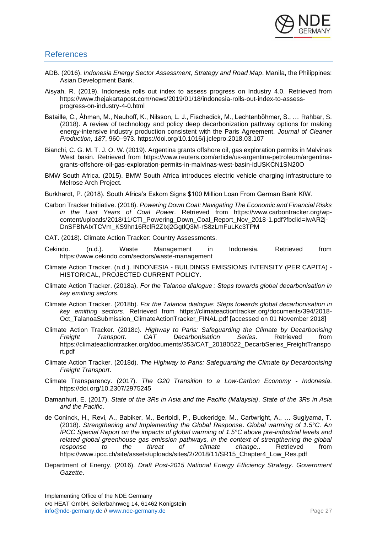

#### <span id="page-26-0"></span>References

- ADB. (2016). *Indonesia Energy Sector Assessment, Strategy and Road Map*. Manila, the Philippines: Asian Development Bank.
- Aisyah, R. (2019). Indonesia rolls out index to assess progress on Industry 4.0. Retrieved from https://www.thejakartapost.com/news/2019/01/18/indonesia-rolls-out-index-to-assessprogress-on-industry-4-0.html
- Bataille, C., Åhman, M., Neuhoff, K., Nilsson, L. J., Fischedick, M., Lechtenböhmer, S., … Rahbar, S. (2018). A review of technology and policy deep decarbonization pathway options for making energy-intensive industry production consistent with the Paris Agreement. *Journal of Cleaner Production*, *187*, 960–973. https://doi.org/10.1016/j.jclepro.2018.03.107
- Bianchi, C. G. M. T. J. O. W. (2019). Argentina grants offshore oil, gas exploration permits in Malvinas West basin. Retrieved from https://www.reuters.com/article/us-argentina-petroleum/argentinagrants-offshore-oil-gas-exploration-permits-in-malvinas-west-basin-idUSKCN1SN20O
- BMW South Africa. (2015). BMW South Africa introduces electric vehicle charging infrastructure to Melrose Arch Project.
- Burkhardt, P. (2018). South Africa's Eskom Signs \$100 Million Loan From German Bank KfW.
- Carbon Tracker Initiative. (2018). *Powering Down Coal: Navigating The Economic and Financial Risks in the Last Years of Coal Power*. Retrieved from https://www.carbontracker.org/wpcontent/uploads/2018/11/CTI\_Powering\_Down\_Coal\_Report\_Nov\_2018-1.pdf?fbclid=IwAR2j-DnSFBhAIxTCVm\_KS9hn16RclR2ZIxj2GgtlQ3M-rS8zLmFuLKc3TPM
- CAT. (2018). Climate Action Tracker: Country Assessments.
- Cekindo. (n.d.). Waste Management in Indonesia. Retrieved from https://www.cekindo.com/sectors/waste-management
- Climate Action Tracker. (n.d.). INDONESIA BUILDINGS EMISSIONS INTENSITY (PER CAPITA) HISTORICAL, PROJECTED CURRENT POLICY.
- Climate Action Tracker. (2018a). *For the Talanoa dialogue : Steps towards global decarbonisation in key emitting sectors*.
- Climate Action Tracker. (2018b). *For the Talanoa dialogue: Steps towards global decarbonisation in key emitting sectors*. Retrieved from https://climateactiontracker.org/documents/394/2018- Oct TalanoaSubmission ClimateActionTracker\_FINAL.pdf [accessed on 01 November 2018]
- Climate Action Tracker. (2018c). *Highway to Paris: Safeguarding the Climate by Decarbonising Freight Transport*. *CAT Decarbonisation Series*. Retrieved from https://climateactiontracker.org/documents/353/CAT\_20180522\_DecarbSeries\_FreightTranspo rt.pdf
- Climate Action Tracker. (2018d). *The Highway to Paris: Safeguarding the Climate by Decarbonising Freight Transport*.
- Climate Transparency. (2017). *The G20 Transition to a Low-Carbon Economy - Indonesia*. https://doi.org/10.2307/2975245
- Damanhuri, E. (2017). *State of the 3Rs in Asia and the Pacific (Malaysia)*. *State of the 3Rs in Asia and the Pacific*.
- de Coninck, H., Revi, A., Babiker, M., Bertoldi, P., Buckeridge, M., Cartwright, A., … Sugiyama, T. (2018). *Strengthening and Implementing the Global Response*. *Global warming of 1.5°C. An IPCC Special Report on the impacts of global warming of 1.5°C above pre-industrial levels and related global greenhouse gas emission pathways, in the context of strengthening the global response to the threat of climate change,*. Retrieved from https://www.ipcc.ch/site/assets/uploads/sites/2/2018/11/SR15\_Chapter4\_Low\_Res.pdf
- Department of Energy. (2016). *Draft Post-2015 National Energy Efficiency Strategy*. *Government Gazette*.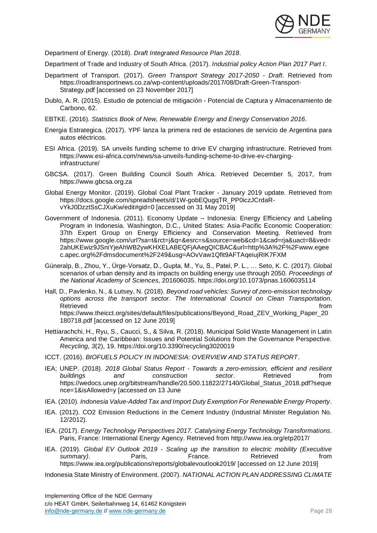

Department of Energy. (2018). *Draft Integrated Resource Plan 2018*.

Department of Trade and Industry of South Africa. (2017). *Industrial policy Action Plan 2017 Part I*.

- Department of Transport. (2017). *Green Transport Strategy 2017-2050 - Draft*. Retrieved from https://roadtransportnews.co.za/wp-content/uploads/2017/08/Draft-Green-Transport-Strategy.pdf [accessed on 23 November 2017]
- Dublo, A. R. (2015). Estudio de potencial de mitigación Potencial de Captura y Almacenamiento de Carbono, 62.
- EBTKE. (2016). *Statistics Book of New, Renewable Energy and Energy Conservation 2016*.
- Energia Estrategica. (2017). YPF lanza la primera red de estaciones de servicio de Argentina para autos eléctricos.
- ESI Africa. (2019). SA unveils funding scheme to drive EV charging infrastructure. Retrieved from https://www.esi-africa.com/news/sa-unveils-funding-scheme-to-drive-ev-charginginfrastructure/
- GBCSA. (2017). Green Building Council South Africa. Retrieved December 5, 2017, from https://www.gbcsa.org.za
- Global Energy Monitor. (2019). Global Coal Plant Tracker January 2019 update. Retrieved from https://docs.google.com/spreadsheets/d/1W-gobEQugqTR\_PP0iczJCrdaRvYkJ0DzztSsCJXuKw/edit#gid=0 [accessed on 31 May 2019]
- Government of Indonesia. (2011). Economy Update Indonesia: Energy Efficiency and Labeling Program in Indonesia. Washington, D.C., United States: Asia-Pacific Economic Cooperation: 37th Expert Group on Energy Efficiency and Conservation Meeting. Retrieved from https://www.google.com/url?sa=t&rct=j&q=&esrc=s&source=web&cd=1&cad=rja&uact=8&ved= 2ahUKEwiz9JSniYjeAhWB2ywKHXELABEQFjAAegQICBAC&url=http%3A%2F%2Fwww.egee c.apec.org%2Fdmsdocument%2F249&usg=AOvVaw1Qfit9AFTAqeiujRIK7FXM
- Güneralp, B., Zhou, Y., Ürge-Vorsatz, D., Gupta, M., Yu, S., Patel, P. L., … Seto, K. C. (2017). Global scenarios of urban density and its impacts on building energy use through 2050. *Proceedings of the National Academy of Sciences*, 201606035. https://doi.org/10.1073/pnas.1606035114
- Hall, D., Pavlenko, N., & Lutsey, N. (2018). *Beyond road vehicles: Survey of zero-emission technology options across the transport sector*. *The International Council on Clean Transportation*. Retrieved **from the set of the set of the set of the set of the set of the set of the set of the set of the set of the set of the set of the set of the set of the set of the set of the set of the set of the set of the set** https://www.theicct.org/sites/default/files/publications/Beyond\_Road\_ZEV\_Working\_Paper\_20 180718.pdf [accessed on 12 June 2019]
- Hettiarachchi, H., Ryu, S., Caucci, S., & Silva, R. (2018). Municipal Solid Waste Management in Latin America and the Caribbean: Issues and Potential Solutions from the Governance Perspective. *Recycling*, *3*(2), 19. https://doi.org/10.3390/recycling3020019
- ICCT. (2016). *BIOFUELS POLICY IN INDONESIA: OVERVIEW AND STATUS REPORT*.
- IEA; UNEP. (2018). *2018 Global Status Report - Towards a zero-emission, efficient and resilient buildings and construction sector*. Retrieved from https://wedocs.unep.org/bitstream/handle/20.500.11822/27140/Global\_Status\_2018.pdf?seque nce=1&isAllowed=y [accessed on 13 June
- IEA. (2010). *Indonesia Value-Added Tax and Import Duty Exemption For Renewable Energy Property*.
- IEA. (2012). CO2 Emission Reductions in the Cement Industry (Industrial Minister Regulation No. 12/2012).
- IEA. (2017). *Energy Technology Perspectives 2017. Catalysing Energy Technology Transformations*. Paris, France: International Energy Agency. Retrieved from http://www.iea.org/etp2017/
- IEA. (2019). *Global EV Outlook 2019 - Scaling up the transition to electric mobility (Execuitive summary*). **Paris, Retrieved France.** Retrieved from https://www.iea.org/publications/reports/globalevoutlook2019/ [accessed on 12 June 2019]

Indonesia State Ministry of Environment. (2007). *NATIONAL ACTION PLAN ADDRESSING CLIMATE*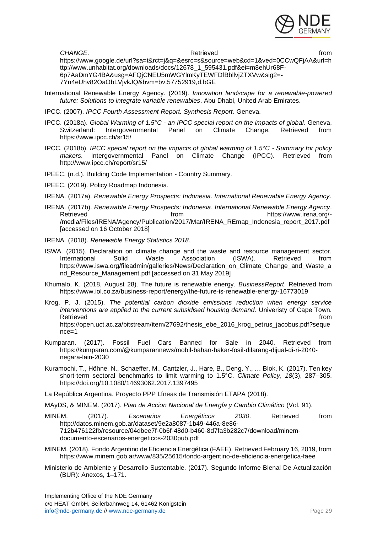

**CHANGE.** The contract of the contract of the contract of the contract of the contract of the contract of the contract of the contract of the contract of the contract of the contract of the contract of the contract of the https://www.google.de/url?sa=t&rct=j&q=&esrc=s&source=web&cd=1&ved=0CCwQFjAA&url=h ttp://www.unhabitat.org/downloads/docs/12678\_1\_595431.pdf&ei=m8ehUr68F-6p7AaDmYG4BA&usg=AFQjCNEU5mWGYlmKyTEWFDfBbllvjZTXVw&sig2=- 7Yn4eUhv82OaObLVjvkJQ&bvm=bv.57752919,d.bGE

- International Renewable Energy Agency. (2019). *Innovation landscape for a renewable-powered future: Solutions to integrate variable renewables*. Abu Dhabi, United Arab Emirates.
- IPCC. (2007). *IPCC Fourth Assessment Report. Synthesis Report*. Geneva.
- IPCC. (2018a). *Global Warming of 1.5°C - an IPCC special report on the impacts of global*. Geneva, Switzerland: Intergovernmental Panel on Climate Change. Retrieved from https://www.ipcc.ch/sr15/
- IPCC. (2018b). *IPCC special report on the impacts of global warming of 1.5°C - Summary for policy makers*. Intergovernmental Panel on Climate Change (IPCC). Retrieved from http://www.ipcc.ch/report/sr15/

IPEEC. (n.d.). Building Code Implementation - Country Summary.

- IPEEC. (2019). Policy Roadmap Indonesia.
- IRENA. (2017a). *Renewable Energy Prospects: Indonesia*. *International Renewable Energy Agency*.
- IRENA. (2017b). *Renewable Energy Prospects: Indonesia*. *International Renewable Energy Agency*. Retrieved **from https://www.irena.org/-** Retrieved /media/Files/IRENA/Agency/Publication/2017/Mar/IRENA\_REmap\_Indonesia\_report\_2017.pdf [accessed on 16 October 2018]
- IRENA. (2018). *Renewable Energy Statistics 2018*.
- ISWA. (2015). Declaration on climate change and the waste and resource management sector. International Solid Waste Association (ISWA). Retrieved from https://www.iswa.org/fileadmin/galleries/News/Declaration\_on\_Climate\_Change\_and\_Waste\_a nd\_Resource\_Management.pdf [accessed on 31 May 2019]
- Khumalo, K. (2018, August 28). The future is renewable energy. *BusinessReport*. Retrieved from https://www.iol.co.za/business-report/energy/the-future-is-renewable-energy-16773019
- Krog, P. J. (2015). *The potential carbon dioxide emissions reduction when energy service interventions are applied to the current subsidised housing demand*. Univeristy of Cape Town. Retrieved **from the set of the set of the set of the set of the set of the set of the set of the set of the set of the set of the set of the set of the set of the set of the set of the set of the set of the set of the set** https://open.uct.ac.za/bitstream/item/27692/thesis\_ebe\_2016\_krog\_petrus\_jacobus.pdf?seque nce=1
- Kumparan. (2017). Fossil Fuel Cars Banned for Sale in 2040. Retrieved from https://kumparan.com/@kumparannews/mobil-bahan-bakar-fosil-dilarang-dijual-di-ri-2040 negara-lain-2030
- Kuramochi, T., Höhne, N., Schaeffer, M., Cantzler, J., Hare, B., Deng, Y., … Blok, K. (2017). Ten key short-term sectoral benchmarks to limit warming to 1.5°C. *Climate Policy*, *18*(3), 287–305. https://doi.org/10.1080/14693062.2017.1397495

La República Argentina. Proyecto PPP Líneas de Transmisión ETAPA (2018).

MAyDS, & MINEM. (2017). *Plan de Accion Nacional de Energía y Cambio Climático* (Vol. 91).

- MINEM. (2017). *Escenarios Energéticos 2030*. Retrieved from http://datos.minem.gob.ar/dataset/9e2a8087-1b49-446a-8e86- 712b476122fb/resource/04dbee7f-0b6f-48d0-b460-8d7fa3b282c7/download/minemdocumento-escenarios-energeticos-2030pub.pdf
- MINEM. (2018). Fondo Argentino de Eficiencia Energética (FAEE). Retrieved February 16, 2019, from https://www.minem.gob.ar/www/835/25615/fondo-argentino-de-eficiencia-energetica-faee
- Ministerio de Ambiente y Desarrollo Sustentable. (2017). Segundo Informe Bienal De Actualización (BUR): Anexos, 1–171.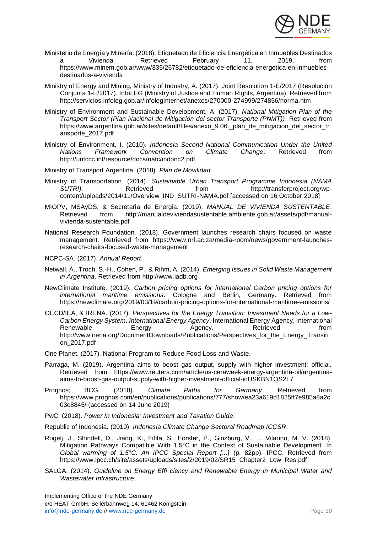

- Ministerio de Energía y Minería. (2018). Etiquetado de Eficiencia Energética en Inmuebles Destinados a Vivienda. Retrieved February 11, 2019, from https://www.minem.gob.ar/www/835/26782/etiquetado-de-eficiencia-energetica-en-inmueblesdestinados-a-vivienda
- Ministry of Energy and Mining, Ministry of Industry, A. (2017). Joint Resolution 1-E/2017 (Resolución Conjunta 1-E/2017). InfoLEG (Ministry of Justice and Human Rights, Argentina). Retrieved from http://servicios.infoleg.gob.ar/infolegInternet/anexos/270000-274999/274856/norma.htm
- Ministry of Environment and Sustainable Development, A. (2017). *National Mitigation Plan of the Transport Sector (Plan Nacional de Mitigación del sector Transporte (PNMT))*. Retrieved from https://www.argentina.gob.ar/sites/default/files/anexo\_9.06.\_plan\_de\_mitigacion\_del\_sector\_tr ansporte\_2017.pdf
- Ministry of Environment, I. (2010). *Indonesia Second National Communication Under the United Nations Framework Convention on Climate Change*. Retrieved from http://unfccc.int/resource/docs/natc/indonc2.pdf
- Ministry of Transport Argentina. (2018). *Plan de Movilidad*.
- Ministry of Transportation. (2014). *Sustainable Urban Transport Programme Indonesia (NAMA SUTRI)*. **Retrieved example 10** from **http://transferproject.org/wp**content/uploads/2014/11/Overview\_IND\_SUTRI-NAMA.pdf [accessed on 16 October 2018]
- MIOPV, MSAyDS, & Secretaria de Energia. (2019). *MANUAL DE VIVIENDA SUSTENTABLE*. Retrieved from http://manualdeviviendasustentable.ambiente.gob.ar/assets/pdf/manualvivienda-sustentable.pdf
- National Research Foundation. (2018). Government launches research chairs focused on waste management. Retrieved from https://www.nrf.ac.za/media-room/news/government-launchesresearch-chairs-focused-waste-management
- NCPC-SA. (2017). *Annual Report*.
- Netwall, A., Troch, S.-H., Cohen, P., & Rihm, A. (2014). *Emerging Issues in Solid Waste Management in Argentina*. Retrieved from http://www.iadb.org
- NewClimate Institute. (2019). *Carbon pricing options for international Carbon pricing options for international maritime emissions*. Cologne and Berlin, Germany. Retrieved from https://newclimate.org/2019/03/19/carbon-pricing-options-for-international-maritime-emissions/
- OECD/IEA, & IRENA. (2017). *Perspectives for the Energy Transition: Investment Needs for a Low-Carbon Energy System*. *International Energy Agency*. International Energy Agency, International Renewable **Energy** Agency. Retrieved from http://www.irena.org/DocumentDownloads/Publications/Perspectives\_for\_the\_Energy\_Transiti on\_2017.pdf
- One Planet. (2017). National Program to Reduce Food Loss and Waste.
- Parraga, M. (2019). Argentina aims to boost gas output, supply with higher investment: official. Retrieved from https://www.reuters.com/article/us-ceraweek-energy-argentina-oil/argentinaaims-to-boost-gas-output-supply-with-higher-investment-official-idUSKBN1QS2L7
- Prognos; BCG. (2018). *Climate Paths for Germany*. Retrieved from https://www.prognos.com/en/publications/publications/777/show/ea23a619d1825ff7e985a8a2c 03c8845/ (accessed on 14 June 2019)
- PwC. (2018). *Power In Indonesia: Investment and Taxation Guide*.
- Republic of Indonesia. (2010). *Indonesia Climate Change Sectoral Roadmap ICCSR*.
- Rogelj, J., Shindell, D., Jiang, K., Fifita, S., Forster, P., Ginzburg, V., … Vilarino, M. V. (2018). Mitigation Pathways Compatible With 1.5°C in the Context of Sustainable Development. In *Global warming of 1.5°C. An IPCC Special Report [...]* (p. 82pp). IPCC. Retrieved from https://www.ipcc.ch/site/assets/uploads/sites/2/2019/02/SR15\_Chapter2\_Low\_Res.pdf
- SALGA. (2014). *Guideline on Energy Effi ciency and Renewable Energy in Municipal Water and Wastewater Infrastructure*.

Implementing Office of the NDE Germany c/o HEAT GmbH, Seilerbahnweg 14, 61462 Königstein [info@nde-germany.de](mailto:info@nde-germany.de) // [www.nde-germany.de](http://www.nde-germany.de/) Page 30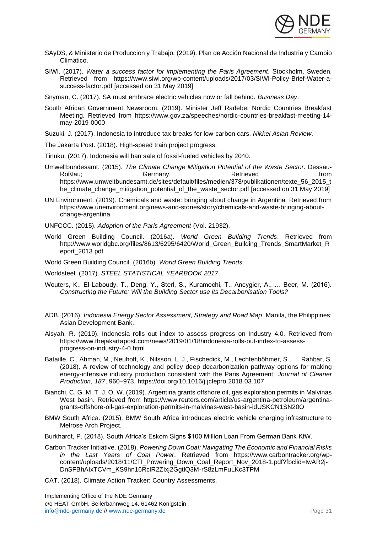

- SAyDS, & Ministerio de Produccion y Trabajo. (2019). Plan de Acción Nacional de Industria y Cambio Climatico.
- SIWI. (2017). *Water a success factor for implementing the Paris Agreement*. Stockholm, Sweden. Retrieved from https://www.siwi.org/wp-content/uploads/2017/03/SIWI-Policy-Brief-Water-asuccess-factor.pdf [accessed on 31 May 2019]

Snyman, C. (2017). SA must embrace electric vehicles now or fall behind. *Business Day*.

South African Government Newsroom. (2019). Minister Jeff Radebe: Nordic Countries Breakfast Meeting. Retrieved from https://www.gov.za/speeches/nordic-countries-breakfast-meeting-14 may-2019-0000

Suzuki, J. (2017). Indonesia to introduce tax breaks for low-carbon cars. *Nikkei Asian Review*.

The Jakarta Post. (2018). High-speed train project progress.

Tinuku. (2017). Indonesia will ban sale of fossil-fueled vehicles by 2040.

- Umweltbundesamt. (2015). *The Climate Change Mitigation Potential of the Waste Sector*. Dessau-Roßlau; Germany. Retrieved from https://www.umweltbundesamt.de/sites/default/files/medien/378/publikationen/texte\_56\_2015\_t he\_climate\_change\_mitigation\_potential\_of\_the\_waste\_sector.pdf [accessed on 31 May 2019]
- UN Environment. (2019). Chemicals and waste: bringing about change in Argentina. Retrieved from https://www.unenvironment.org/news-and-stories/story/chemicals-and-waste-bringing-aboutchange-argentina
- UNFCCC. (2015). *Adoption of the Paris Agreement* (Vol. 21932).
- World Green Building Council. (2016a). *World Green Building Trends*. Retrieved from http://www.worldgbc.org/files/8613/6295/6420/World\_Green\_Building\_Trends\_SmartMarket\_R eport\_2013.pdf

World Green Building Council. (2016b). *World Green Building Trends*.

Worldsteel. (2017). *STEEL STATISTICAL YEARBOOK 2017*.

- Wouters, K., El-Laboudy, T., Deng, Y., Sterl, S., Kuramochi, T., Ancygier, A., … Beer, M. (2016). *Constructing the Future: Will the Building Sector use its Decarbonisation Tools?*
- ADB. (2016). *Indonesia Energy Sector Assessment, Strategy and Road Map*. Manila, the Philippines: Asian Development Bank.
- Aisyah, R. (2019). Indonesia rolls out index to assess progress on Industry 4.0. Retrieved from https://www.thejakartapost.com/news/2019/01/18/indonesia-rolls-out-index-to-assessprogress-on-industry-4-0.html
- Bataille, C., Åhman, M., Neuhoff, K., Nilsson, L. J., Fischedick, M., Lechtenböhmer, S., … Rahbar, S. (2018). A review of technology and policy deep decarbonization pathway options for making energy-intensive industry production consistent with the Paris Agreement. *Journal of Cleaner Production*, *187*, 960–973. https://doi.org/10.1016/j.jclepro.2018.03.107
- Bianchi, C. G. M. T. J. O. W. (2019). Argentina grants offshore oil, gas exploration permits in Malvinas West basin. Retrieved from https://www.reuters.com/article/us-argentina-petroleum/argentinagrants-offshore-oil-gas-exploration-permits-in-malvinas-west-basin-idUSKCN1SN20O
- BMW South Africa. (2015). BMW South Africa introduces electric vehicle charging infrastructure to Melrose Arch Project.
- Burkhardt, P. (2018). South Africa's Eskom Signs \$100 Million Loan From German Bank KfW.
- Carbon Tracker Initiative. (2018). *Powering Down Coal: Navigating The Economic and Financial Risks in the Last Years of Coal Power*. Retrieved from https://www.carbontracker.org/wpcontent/uploads/2018/11/CTI\_Powering\_Down\_Coal\_Report\_Nov\_2018-1.pdf?fbclid=IwAR2j-DnSFBhAIxTCVm\_KS9hn16RclR2ZIxj2GgtlQ3M-rS8zLmFuLKc3TPM
- CAT. (2018). Climate Action Tracker: Country Assessments.

Implementing Office of the NDE Germany c/o HEAT GmbH, Seilerbahnweg 14, 61462 Königstein [info@nde-germany.de](mailto:info@nde-germany.de) // [www.nde-germany.de](http://www.nde-germany.de/) example 31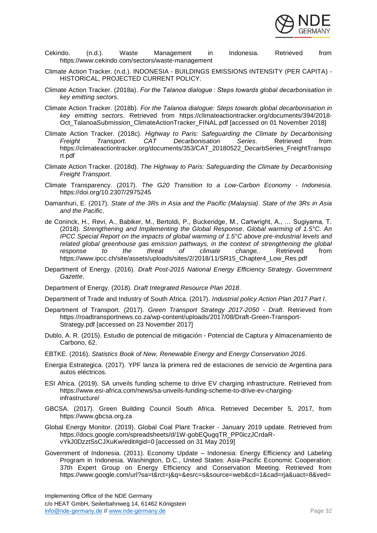

- Cekindo. (n.d.). Waste Management in Indonesia. Retrieved from https://www.cekindo.com/sectors/waste-management
- Climate Action Tracker. (n.d.). INDONESIA BUILDINGS EMISSIONS INTENSITY (PER CAPITA) HISTORICAL, PROJECTED CURRENT POLICY.
- Climate Action Tracker. (2018a). *For the Talanoa dialogue : Steps towards global decarbonisation in key emitting sectors*.
- Climate Action Tracker. (2018b). *For the Talanoa dialogue: Steps towards global decarbonisation in key emitting sectors*. Retrieved from https://climateactiontracker.org/documents/394/2018- Oct TalanoaSubmission ClimateActionTracker\_FINAL.pdf [accessed on 01 November 2018]
- Climate Action Tracker. (2018c). *Highway to Paris: Safeguarding the Climate by Decarbonising Freight Transport*. *CAT Decarbonisation Series*. Retrieved from https://climateactiontracker.org/documents/353/CAT\_20180522\_DecarbSeries\_FreightTranspo rt.pdf
- Climate Action Tracker. (2018d). *The Highway to Paris: Safeguarding the Climate by Decarbonising Freight Transport*.
- Climate Transparency. (2017). *The G20 Transition to a Low-Carbon Economy - Indonesia*. https://doi.org/10.2307/2975245
- Damanhuri, E. (2017). *State of the 3Rs in Asia and the Pacific (Malaysia)*. *State of the 3Rs in Asia and the Pacific*.
- de Coninck, H., Revi, A., Babiker, M., Bertoldi, P., Buckeridge, M., Cartwright, A., … Sugiyama, T. (2018). *Strengthening and Implementing the Global Response*. *Global warming of 1.5°C. An IPCC Special Report on the impacts of global warming of 1.5°C above pre-industrial levels and*  related global greenhouse gas emission pathways, in the context of strengthening the global *response to the threat of climate change,*. Retrieved from https://www.ipcc.ch/site/assets/uploads/sites/2/2018/11/SR15\_Chapter4\_Low\_Res.pdf
- Department of Energy. (2016). *Draft Post-2015 National Energy Efficiency Strategy*. *Government Gazette*.
- Department of Energy. (2018). *Draft Integrated Resource Plan 2018*.
- Department of Trade and Industry of South Africa. (2017). *Industrial policy Action Plan 2017 Part I*.
- Department of Transport. (2017). *Green Transport Strategy 2017-2050 - Draft*. Retrieved from https://roadtransportnews.co.za/wp-content/uploads/2017/08/Draft-Green-Transport-Strategy.pdf [accessed on 23 November 2017]
- Dublo, A. R. (2015). Estudio de potencial de mitigación Potencial de Captura y Almacenamiento de Carbono, 62.
- EBTKE. (2016). *Statistics Book of New, Renewable Energy and Energy Conservation 2016*.
- Energia Estrategica. (2017). YPF lanza la primera red de estaciones de servicio de Argentina para autos eléctricos.
- ESI Africa. (2019). SA unveils funding scheme to drive EV charging infrastructure. Retrieved from https://www.esi-africa.com/news/sa-unveils-funding-scheme-to-drive-ev-charginginfrastructure/
- GBCSA. (2017). Green Building Council South Africa. Retrieved December 5, 2017, from https://www.gbcsa.org.za
- Global Energy Monitor. (2019). Global Coal Plant Tracker January 2019 update. Retrieved from https://docs.google.com/spreadsheets/d/1W-gobEQugqTR\_PP0iczJCrdaRvYkJ0DzztSsCJXuKw/edit#gid=0 [accessed on 31 May 2019]
- Government of Indonesia. (2011). Economy Update Indonesia: Energy Efficiency and Labeling Program in Indonesia. Washington, D.C., United States: Asia-Pacific Economic Cooperation: 37th Expert Group on Energy Efficiency and Conservation Meeting. Retrieved from https://www.google.com/url?sa=t&rct=j&q=&esrc=s&source=web&cd=1&cad=rja&uact=8&ved=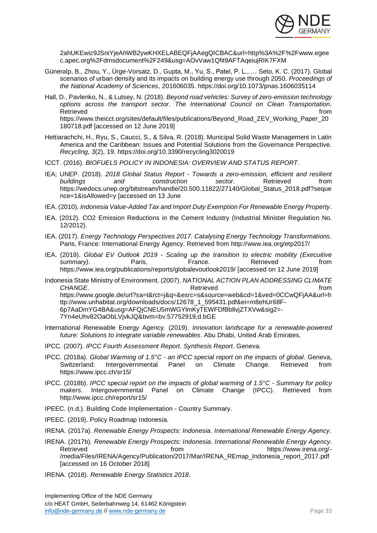

2ahUKEwiz9JSniYjeAhWB2ywKHXELABEQFjAAegQICBAC&url=http%3A%2F%2Fwww.egee c.apec.org%2Fdmsdocument%2F249&usg=AOvVaw1Qfit9AFTAqeiujRIK7FXM

- Güneralp, B., Zhou, Y., Ürge-Vorsatz, D., Gupta, M., Yu, S., Patel, P. L., … Seto, K. C. (2017). Global scenarios of urban density and its impacts on building energy use through 2050. *Proceedings of the National Academy of Sciences*, 201606035. https://doi.org/10.1073/pnas.1606035114
- Hall, D., Pavlenko, N., & Lutsey, N. (2018). *Beyond road vehicles: Survey of zero-emission technology options across the transport sector*. *The International Council on Clean Transportation*. Retrieved **from the set of the set of the set of the set of the set of the set of the set of the set of the set of the set of the set of the set of the set of the set of the set of the set of the set of the set of the set** https://www.theicct.org/sites/default/files/publications/Beyond\_Road\_ZEV\_Working\_Paper\_20 180718.pdf [accessed on 12 June 2019]
- Hettiarachchi, H., Ryu, S., Caucci, S., & Silva, R. (2018). Municipal Solid Waste Management in Latin America and the Caribbean: Issues and Potential Solutions from the Governance Perspective. *Recycling*, *3*(2), 19. https://doi.org/10.3390/recycling3020019
- ICCT. (2016). *BIOFUELS POLICY IN INDONESIA: OVERVIEW AND STATUS REPORT*.
- IEA; UNEP. (2018). *2018 Global Status Report - Towards a zero-emission, efficient and resilient buildings and construction sector*. Retrieved from https://wedocs.unep.org/bitstream/handle/20.500.11822/27140/Global\_Status\_2018.pdf?seque nce=1&isAllowed=y [accessed on 13 June
- IEA. (2010). *Indonesia Value-Added Tax and Import Duty Exemption For Renewable Energy Property*.
- IEA. (2012). CO2 Emission Reductions in the Cement Industry (Industrial Minister Regulation No. 12/2012).
- IEA. (2017). *Energy Technology Perspectives 2017. Catalysing Energy Technology Transformations*. Paris, France: International Energy Agency. Retrieved from http://www.iea.org/etp2017/
- IEA. (2019). *Global EV Outlook 2019 - Scaling up the transition to electric mobility (Execuitive summary*). **Paris, Retrieved France.** Retrieved from https://www.iea.org/publications/reports/globalevoutlook2019/ [accessed on 12 June 2019]
- Indonesia State Ministry of Environment. (2007). *NATIONAL ACTION PLAN ADDRESSING CLIMATE*  **CHANGE.** The contract of the contract of the contract of the contract of the contract of the contract of the contract of the contract of the contract of the contract of the contract of the contract of the contract of the https://www.google.de/url?sa=t&rct=j&q=&esrc=s&source=web&cd=1&ved=0CCwQFjAA&url=h ttp://www.unhabitat.org/downloads/docs/12678\_1\_595431.pdf&ei=m8ehUr68F-6p7AaDmYG4BA&usg=AFQjCNEU5mWGYlmKyTEWFDfBbllvjZTXVw&sig2=- 7Yn4eUhv82OaObLVjvkJQ&bvm=bv.57752919,d.bGE
- International Renewable Energy Agency. (2019). *Innovation landscape for a renewable-powered future: Solutions to integrate variable renewables*. Abu Dhabi, United Arab Emirates.
- IPCC. (2007). *IPCC Fourth Assessment Report. Synthesis Report*. Geneva.
- IPCC. (2018a). *Global Warming of 1.5°C - an IPCC special report on the impacts of global*. Geneva, Switzerland: Intergovernmental Panel on Climate Change. Retrieved from https://www.ipcc.ch/sr15/
- IPCC. (2018b). *IPCC special report on the impacts of global warming of 1.5°C - Summary for policy makers*. Intergovernmental Panel on Climate Change (IPCC). Retrieved from http://www.ipcc.ch/report/sr15/
- IPEEC. (n.d.). Building Code Implementation Country Summary.
- IPEEC. (2019). Policy Roadmap Indonesia.
- IRENA. (2017a). *Renewable Energy Prospects: Indonesia*. *International Renewable Energy Agency*.
- IRENA. (2017b). *Renewable Energy Prospects: Indonesia*. *International Renewable Energy Agency*. Retrieved **from https://www.irena.org/-** Retrieved /media/Files/IRENA/Agency/Publication/2017/Mar/IRENA\_REmap\_Indonesia\_report\_2017.pdf [accessed on 16 October 2018]
- IRENA. (2018). *Renewable Energy Statistics 2018*.

Implementing Office of the NDE Germany c/o HEAT GmbH, Seilerbahnweg 14, 61462 Königstein [info@nde-germany.de](mailto:info@nde-germany.de) // [www.nde-germany.de](http://www.nde-germany.de/) Page 33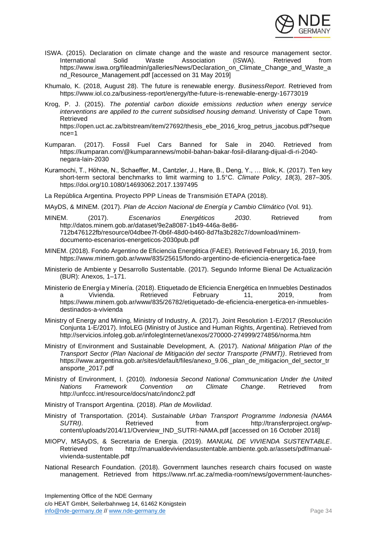

- ISWA. (2015). Declaration on climate change and the waste and resource management sector. International Solid Waste Association (ISWA). Retrieved from https://www.iswa.org/fileadmin/galleries/News/Declaration\_on\_Climate\_Change\_and\_Waste\_a nd Resource Management.pdf [accessed on 31 May 2019]
- Khumalo, K. (2018, August 28). The future is renewable energy. *BusinessReport*. Retrieved from https://www.iol.co.za/business-report/energy/the-future-is-renewable-energy-16773019
- Krog, P. J. (2015). *The potential carbon dioxide emissions reduction when energy service interventions are applied to the current subsidised housing demand*. Univeristy of Cape Town. Retrieved **from the set of the set of the set of the set of the set of the set of the set of the set of the set of the set of the set of the set of the set of the set of the set of the set of the set of the set of the set** https://open.uct.ac.za/bitstream/item/27692/thesis\_ebe\_2016\_krog\_petrus\_jacobus.pdf?seque nce=1
- Kumparan. (2017). Fossil Fuel Cars Banned for Sale in 2040. Retrieved from https://kumparan.com/@kumparannews/mobil-bahan-bakar-fosil-dilarang-dijual-di-ri-2040 negara-lain-2030
- Kuramochi, T., Höhne, N., Schaeffer, M., Cantzler, J., Hare, B., Deng, Y., … Blok, K. (2017). Ten key short-term sectoral benchmarks to limit warming to 1.5°C. *Climate Policy*, *18*(3), 287–305. https://doi.org/10.1080/14693062.2017.1397495

La República Argentina. Proyecto PPP Líneas de Transmisión ETAPA (2018).

MAyDS, & MINEM. (2017). *Plan de Accion Nacional de Energía y Cambio Climático* (Vol. 91).

- MINEM. (2017). *Escenarios Energéticos 2030*. Retrieved from http://datos.minem.gob.ar/dataset/9e2a8087-1b49-446a-8e86- 712b476122fb/resource/04dbee7f-0b6f-48d0-b460-8d7fa3b282c7/download/minemdocumento-escenarios-energeticos-2030pub.pdf
- MINEM. (2018). Fondo Argentino de Eficiencia Energética (FAEE). Retrieved February 16, 2019, from https://www.minem.gob.ar/www/835/25615/fondo-argentino-de-eficiencia-energetica-faee
- Ministerio de Ambiente y Desarrollo Sustentable. (2017). Segundo Informe Bienal De Actualización (BUR): Anexos, 1–171.
- Ministerio de Energía y Minería. (2018). Etiquetado de Eficiencia Energética en Inmuebles Destinados a Vivienda. Retrieved February 11, 2019, from https://www.minem.gob.ar/www/835/26782/etiquetado-de-eficiencia-energetica-en-inmueblesdestinados-a-vivienda
- Ministry of Energy and Mining, Ministry of Industry, A. (2017). Joint Resolution 1-E/2017 (Resolución Conjunta 1-E/2017). InfoLEG (Ministry of Justice and Human Rights, Argentina). Retrieved from http://servicios.infoleg.gob.ar/infolegInternet/anexos/270000-274999/274856/norma.htm
- Ministry of Environment and Sustainable Development, A. (2017). *National Mitigation Plan of the Transport Sector (Plan Nacional de Mitigación del sector Transporte (PNMT))*. Retrieved from https://www.argentina.gob.ar/sites/default/files/anexo\_9.06.\_plan\_de\_mitigacion\_del\_sector\_tr ansporte\_2017.pdf
- Ministry of Environment, I. (2010). *Indonesia Second National Communication Under the United Nations Framework Convention on Climate Change*. Retrieved from http://unfccc.int/resource/docs/natc/indonc2.pdf

Ministry of Transport Argentina. (2018). *Plan de Movilidad*.

- Ministry of Transportation. (2014). *Sustainable Urban Transport Programme Indonesia (NAMA SUTRI)*. **Retrieved http://transferproject.org/wp**content/uploads/2014/11/Overview\_IND\_SUTRI-NAMA.pdf [accessed on 16 October 2018]
- MIOPV, MSAyDS, & Secretaria de Energia. (2019). *MANUAL DE VIVIENDA SUSTENTABLE*. Retrieved from http://manualdeviviendasustentable.ambiente.gob.ar/assets/pdf/manualvivienda-sustentable.pdf
- National Research Foundation. (2018). Government launches research chairs focused on waste management. Retrieved from https://www.nrf.ac.za/media-room/news/government-launches-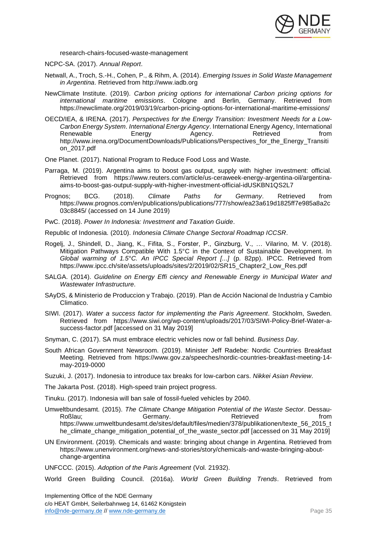

research-chairs-focused-waste-management

NCPC-SA. (2017). *Annual Report*.

- Netwall, A., Troch, S.-H., Cohen, P., & Rihm, A. (2014). *Emerging Issues in Solid Waste Management in Argentina*. Retrieved from http://www.iadb.org
- NewClimate Institute. (2019). *Carbon pricing options for international Carbon pricing options for international maritime emissions*. Cologne and Berlin, Germany. Retrieved from https://newclimate.org/2019/03/19/carbon-pricing-options-for-international-maritime-emissions/
- OECD/IEA, & IRENA. (2017). *Perspectives for the Energy Transition: Investment Needs for a Low-Carbon Energy System*. *International Energy Agency*. International Energy Agency, International Renewable Energy Agency. Retrieved from http://www.irena.org/DocumentDownloads/Publications/Perspectives\_for\_the\_Energy\_Transiti on\_2017.pdf
- One Planet. (2017). National Program to Reduce Food Loss and Waste.
- Parraga, M. (2019). Argentina aims to boost gas output, supply with higher investment: official. Retrieved from https://www.reuters.com/article/us-ceraweek-energy-argentina-oil/argentinaaims-to-boost-gas-output-supply-with-higher-investment-official-idUSKBN1QS2L7
- Prognos; BCG. (2018). *Climate Paths for Germany*. Retrieved from https://www.prognos.com/en/publications/publications/777/show/ea23a619d1825ff7e985a8a2c 03c8845/ (accessed on 14 June 2019)
- PwC. (2018). *Power In Indonesia: Investment and Taxation Guide*.

Republic of Indonesia. (2010). *Indonesia Climate Change Sectoral Roadmap ICCSR*.

- Rogelj, J., Shindell, D., Jiang, K., Fifita, S., Forster, P., Ginzburg, V., … Vilarino, M. V. (2018). Mitigation Pathways Compatible With 1.5°C in the Context of Sustainable Development. In *Global warming of 1.5°C. An IPCC Special Report [...]* (p. 82pp). IPCC. Retrieved from https://www.ipcc.ch/site/assets/uploads/sites/2/2019/02/SR15\_Chapter2\_Low\_Res.pdf
- SALGA. (2014). *Guideline on Energy Effi ciency and Renewable Energy in Municipal Water and Wastewater Infrastructure*.
- SAyDS, & Ministerio de Produccion y Trabajo. (2019). Plan de Acción Nacional de Industria y Cambio Climatico.
- SIWI. (2017). *Water a success factor for implementing the Paris Agreement*. Stockholm, Sweden. Retrieved from https://www.siwi.org/wp-content/uploads/2017/03/SIWI-Policy-Brief-Water-asuccess-factor.pdf [accessed on 31 May 2019]
- Snyman, C. (2017). SA must embrace electric vehicles now or fall behind. *Business Day*.
- South African Government Newsroom. (2019). Minister Jeff Radebe: Nordic Countries Breakfast Meeting. Retrieved from https://www.gov.za/speeches/nordic-countries-breakfast-meeting-14 may-2019-0000

Suzuki, J. (2017). Indonesia to introduce tax breaks for low-carbon cars. *Nikkei Asian Review*.

The Jakarta Post. (2018). High-speed train project progress.

Tinuku. (2017). Indonesia will ban sale of fossil-fueled vehicles by 2040.

- Umweltbundesamt. (2015). *The Climate Change Mitigation Potential of the Waste Sector*. Dessau-Roßlau; Christian Cermany. The Retrieved from https://www.umweltbundesamt.de/sites/default/files/medien/378/publikationen/texte\_56\_2015\_t he\_climate\_change\_mitigation\_potential\_of\_the\_waste\_sector.pdf [accessed on 31 May 2019]
- UN Environment. (2019). Chemicals and waste: bringing about change in Argentina. Retrieved from https://www.unenvironment.org/news-and-stories/story/chemicals-and-waste-bringing-aboutchange-argentina

UNFCCC. (2015). *Adoption of the Paris Agreement* (Vol. 21932).

World Green Building Council. (2016a). *World Green Building Trends*. Retrieved from

Implementing Office of the NDE Germany c/o HEAT GmbH, Seilerbahnweg 14, 61462 Königstein [info@nde-germany.de](mailto:info@nde-germany.de) // [www.nde-germany.de](http://www.nde-germany.de/) example 35